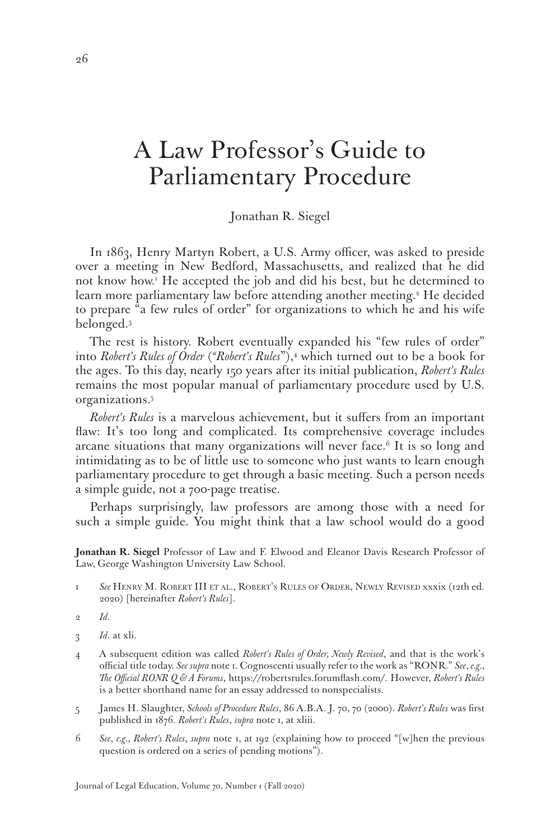# A Law Professor's Guide to Parliamentary Procedure

Jonathan R. Siegel

In 1863, Henry Martyn Robert, a U.S. Army officer, was asked to preside over a meeting in New Bedford, Massachusetts, and realized that he did not know how.1 He accepted the job and did his best, but he determined to learn more parliamentary law before attending another meeting.<sup>2</sup> He decided to prepare "a few rules of order" for organizations to which he and his wife belonged.3

The rest is history. Robert eventually expanded his "few rules of order" into *Robert's Rules of Order* (*"Robert's Rules*"),4 which turned out to be a book for the ages. To this day, nearly 150 years after its initial publication, *Robert's Rules* remains the most popular manual of parliamentary procedure used by U.S. organizations.5

*Robert's Rules* is a marvelous achievement, but it suffers from an important flaw: It's too long and complicated. Its comprehensive coverage includes arcane situations that many organizations will never face.<sup>6</sup> It is so long and intimidating as to be of little use to someone who just wants to learn enough parliamentary procedure to get through a basic meeting. Such a person needs a simple guide, not a 700-page treatise.

Perhaps surprisingly, law professors are among those with a need for such a simple guide. You might think that a law school would do a good

**Jonathan R. Siegel** Professor of Law and F. Elwood and Eleanor Davis Research Professor of Law, George Washington University Law School.

- 1 *See* Henry M. Robert III et al., Robert's Rules of Order, Newly Revised xxxix (12th ed. 2020) [hereinafter *Robert's Rules*].
- 2 *Id*.
- 3 *Id*. at xli.
- 4 A subsequent edition was called *Robert's Rules of Order, Newly Revised*, and that is the work's official title today. *See supra* note 1. Cognoscenti usually refer to the work as "RONR." *See*, *e.g.*, *The Official RONR Q & A Forums*, https://robertsrules.forumflash.com/. However, *Robert's Rules* is a better shorthand name for an essay addressed to nonspecialists.
- 5 James H. Slaughter, *Schools of Procedure Rules*, 86 A.B.A. J. 70, 70 (2000). *Robert's Rules* was first published in 1876. *Robert's Rules*, *supra* note 1, at xliii.
- 6 *See*, *e.g.*, *Robert's Rules*, *supra* note 1, at 192 (explaining how to proceed "[w]hen the previous question is ordered on a series of pending motions").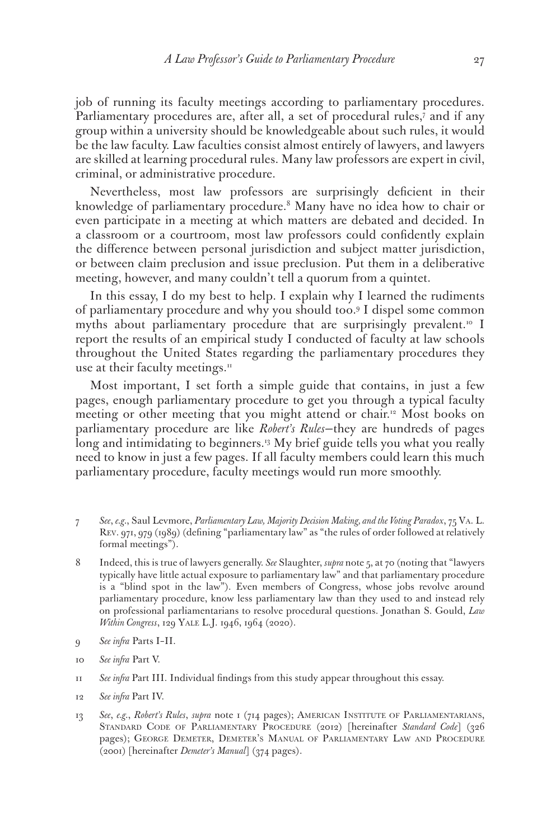job of running its faculty meetings according to parliamentary procedures. Parliamentary procedures are, after all, a set of procedural rules,<sup>7</sup> and if any group within a university should be knowledgeable about such rules, it would be the law faculty. Law faculties consist almost entirely of lawyers, and lawyers are skilled at learning procedural rules. Many law professors are expert in civil, criminal, or administrative procedure.

Nevertheless, most law professors are surprisingly deficient in their knowledge of parliamentary procedure.8 Many have no idea how to chair or even participate in a meeting at which matters are debated and decided. In a classroom or a courtroom, most law professors could confidently explain the difference between personal jurisdiction and subject matter jurisdiction, or between claim preclusion and issue preclusion. Put them in a deliberative meeting, however, and many couldn't tell a quorum from a quintet.

In this essay, I do my best to help. I explain why I learned the rudiments of parliamentary procedure and why you should too.9 I dispel some common myths about parliamentary procedure that are surprisingly prevalent.<sup>10</sup> I report the results of an empirical study I conducted of faculty at law schools throughout the United States regarding the parliamentary procedures they use at their faculty meetings.<sup>11</sup>

Most important, I set forth a simple guide that contains, in just a few pages, enough parliamentary procedure to get you through a typical faculty meeting or other meeting that you might attend or chair.12 Most books on parliamentary procedure are like *Robert's Rules*—they are hundreds of pages long and intimidating to beginners.<sup>13</sup> My brief guide tells you what you really need to know in just a few pages. If all faculty members could learn this much parliamentary procedure, faculty meetings would run more smoothly.

- 7 *See*, *e.g.*, Saul Levmore, *Parliamentary Law, Majority Decision Making, and the Voting Paradox*, 75 Va. L. Rev. 971, 979 (1989) (defining "parliamentary law" as "the rules of order followed at relatively formal meetings").
- 8 Indeed, this is true of lawyers generally. *See* Slaughter, *supra* note 5, at 70 (noting that "lawyers typically have little actual exposure to parliamentary law" and that parliamentary procedure is a "blind spot in the law"). Even members of Congress, whose jobs revolve around parliamentary procedure, know less parliamentary law than they used to and instead rely on professional parliamentarians to resolve procedural questions. Jonathan S. Gould, *Law Within Congress*, 129 Yale L.J. 1946, 1964 (2020).
- 9 *See infra* Parts I–II.
- 10 *See infra* Part V.
- 11 *See infra* Part III. Individual findings from this study appear throughout this essay.
- 12 *See infra* Part IV.
- 13 *See*, *e.g.*, *Robert's Rules*, *supra* note 1 (714 pages); American Institute of Parliamentarians, Standard Code of Parliamentary Procedure (2012) [hereinafter *Standard Code*] (326 pages); George Demeter, Demeter's Manual of Parliamentary Law and Procedure (2001) [hereinafter *Demeter's Manual*] (374 pages).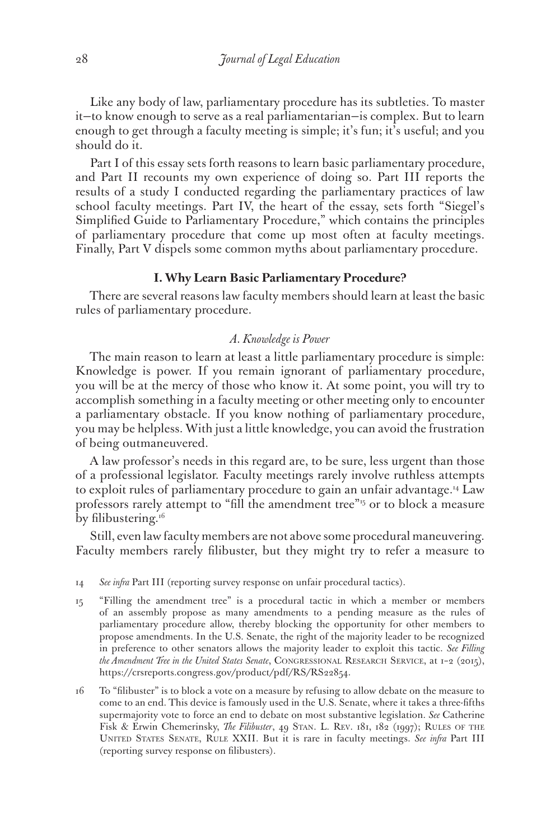Like any body of law, parliamentary procedure has its subtleties. To master it—to know enough to serve as a real parliamentarian—is complex. But to learn enough to get through a faculty meeting is simple; it's fun; it's useful; and you should do it.

Part I of this essay sets forth reasons to learn basic parliamentary procedure, and Part II recounts my own experience of doing so. Part III reports the results of a study I conducted regarding the parliamentary practices of law school faculty meetings. Part IV, the heart of the essay, sets forth "Siegel's Simplified Guide to Parliamentary Procedure," which contains the principles of parliamentary procedure that come up most often at faculty meetings. Finally, Part V dispels some common myths about parliamentary procedure.

#### **I. Why Learn Basic Parliamentary Procedure?**

There are several reasons law faculty members should learn at least the basic rules of parliamentary procedure.

#### *A. Knowledge is Power*

The main reason to learn at least a little parliamentary procedure is simple: Knowledge is power. If you remain ignorant of parliamentary procedure, you will be at the mercy of those who know it. At some point, you will try to accomplish something in a faculty meeting or other meeting only to encounter a parliamentary obstacle. If you know nothing of parliamentary procedure, you may be helpless. With just a little knowledge, you can avoid the frustration of being outmaneuvered.

A law professor's needs in this regard are, to be sure, less urgent than those of a professional legislator. Faculty meetings rarely involve ruthless attempts to exploit rules of parliamentary procedure to gain an unfair advantage.<sup>14</sup> Law professors rarely attempt to "fill the amendment tree"<sup>15</sup> or to block a measure by filibustering.<sup>16</sup>

Still, even law faculty members are not above some procedural maneuvering. Faculty members rarely filibuster, but they might try to refer a measure to

- 14 *See infra* Part III (reporting survey response on unfair procedural tactics).
- 15 "Filling the amendment tree" is a procedural tactic in which a member or members of an assembly propose as many amendments to a pending measure as the rules of parliamentary procedure allow, thereby blocking the opportunity for other members to propose amendments. In the U.S. Senate, the right of the majority leader to be recognized in preference to other senators allows the majority leader to exploit this tactic. *See Filling the Amendment Tree in the United States Senate*, CONGRESSIONAL RESEARCH SERVICE, at 1-2 (2015), https://crsreports.congress.gov/product/pdf/RS/RS22854.
- 16 To "filibuster" is to block a vote on a measure by refusing to allow debate on the measure to come to an end. This device is famously used in the U.S. Senate, where it takes a three-fifths supermajority vote to force an end to debate on most substantive legislation. *See* Catherine Fisk & Erwin Chemerinsky, *The Filibuster*, 49 STAN. L. REV. 181, 182 (1997); RULES OF THE UNITED STATES SENATE, RULE XXII. But it is rare in faculty meetings. See infra Part III (reporting survey response on filibusters).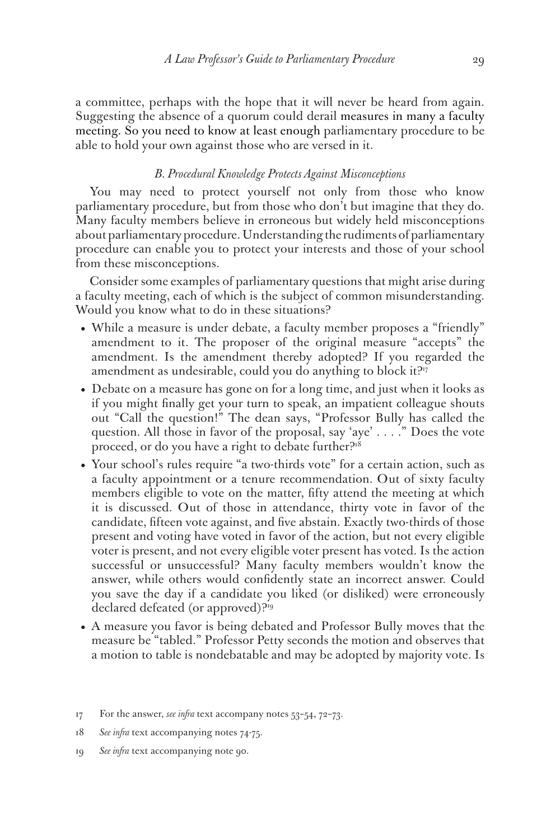a committee, perhaps with the hope that it will never be heard from again. Suggesting the absence of a quorum could derail measures in many a faculty meeting. So you need to know at least enough parliamentary procedure to be able to hold your own against those who are versed in it.

#### *B. Procedural Knowledge Protects Against Misconceptions*

You may need to protect yourself not only from those who know parliamentary procedure, but from those who don't but imagine that they do. Many faculty members believe in erroneous but widely held misconceptions about parliamentary procedure. Understanding the rudiments of parliamentary procedure can enable you to protect your interests and those of your school from these misconceptions.

Consider some examples of parliamentary questions that might arise during a faculty meeting, each of which is the subject of common misunderstanding. Would you know what to do in these situations?

- While a measure is under debate, a faculty member proposes a "friendly" amendment to it. The proposer of the original measure "accepts" the amendment. Is the amendment thereby adopted? If you regarded the amendment as undesirable, could you do anything to block it? $17$
- Debate on a measure has gone on for a long time, and just when it looks as if you might finally get your turn to speak, an impatient colleague shouts out "Call the question!" The dean says, "Professor Bully has called the question. All those in favor of the proposal, say 'aye' . . . ." Does the vote proceed, or do you have a right to debate further?<sup>18</sup>
- Your school's rules require "a two-thirds vote" for a certain action, such as a faculty appointment or a tenure recommendation. Out of sixty faculty members eligible to vote on the matter, fifty attend the meeting at which it is discussed. Out of those in attendance, thirty vote in favor of the candidate, fifteen vote against, and five abstain. Exactly two-thirds of those present and voting have voted in favor of the action, but not every eligible voter is present, and not every eligible voter present has voted. Is the action successful or unsuccessful? Many faculty members wouldn't know the answer, while others would confidently state an incorrect answer. Could you save the day if a candidate you liked (or disliked) were erroneously declared defeated (or approved)?19
- A measure you favor is being debated and Professor Bully moves that the measure be "tabled." Professor Petty seconds the motion and observes that a motion to table is nondebatable and may be adopted by majority vote. Is

19 *See infra* text accompanying note 90.

<sup>17</sup> For the answer, *see infra* text accompany notes 53–54, 72–73.

<sup>18</sup> *See infra* text accompanying notes 74-75.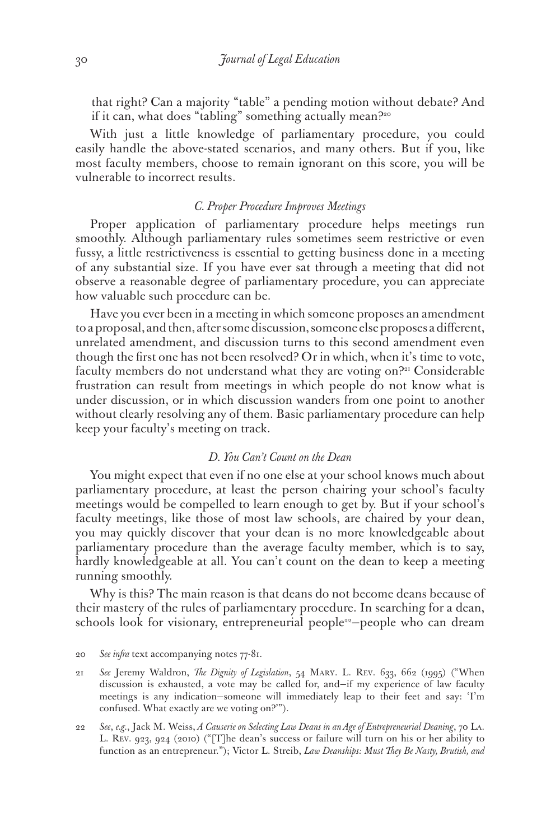that right? Can a majority "table" a pending motion without debate? And if it can, what does "tabling" something actually mean?20

With just a little knowledge of parliamentary procedure, you could easily handle the above-stated scenarios, and many others. But if you, like most faculty members, choose to remain ignorant on this score, you will be vulnerable to incorrect results.

## *C. Proper Procedure Improves Meetings*

Proper application of parliamentary procedure helps meetings run smoothly. Although parliamentary rules sometimes seem restrictive or even fussy, a little restrictiveness is essential to getting business done in a meeting of any substantial size. If you have ever sat through a meeting that did not observe a reasonable degree of parliamentary procedure, you can appreciate how valuable such procedure can be.

Have you ever been in a meeting in which someone proposes an amendment to a proposal, and then, after some discussion, someone else proposes a different, unrelated amendment, and discussion turns to this second amendment even though the first one has not been resolved? Or in which, when it's time to vote, faculty members do not understand what they are voting on?<sup>21</sup> Considerable frustration can result from meetings in which people do not know what is under discussion, or in which discussion wanders from one point to another without clearly resolving any of them. Basic parliamentary procedure can help keep your faculty's meeting on track.

#### *D. You Can't Count on the Dean*

You might expect that even if no one else at your school knows much about parliamentary procedure, at least the person chairing your school's faculty meetings would be compelled to learn enough to get by. But if your school's faculty meetings, like those of most law schools, are chaired by your dean, you may quickly discover that your dean is no more knowledgeable about parliamentary procedure than the average faculty member, which is to say, hardly knowledgeable at all. You can't count on the dean to keep a meeting running smoothly.

Why is this? The main reason is that deans do not become deans because of their mastery of the rules of parliamentary procedure. In searching for a dean, schools look for visionary, entrepreneurial people<sup>22</sup>-people who can dream

- 21 *See* Jeremy Waldron, *The Dignity of Legislation*, 54 Mary. L. Rev. 633, 662 (1995) ("When discussion is exhausted, a vote may be called for, and—if my experience of law faculty meetings is any indication—someone will immediately leap to their feet and say: 'I'm confused. What exactly are we voting on?'").
- 22 *See*, *e.g.*, Jack M. Weiss, *A Causerie on Selecting Law Deans in an Age of Entrepreneurial Deaning*, 70 La. L. Rev. 923, 924 (2010) ("[T]he dean's success or failure will turn on his or her ability to function as an entrepreneur."); Victor L. Streib, *Law Deanships: Must They Be Nasty, Brutish, and*

<sup>20</sup> *See infra* text accompanying notes 77-81.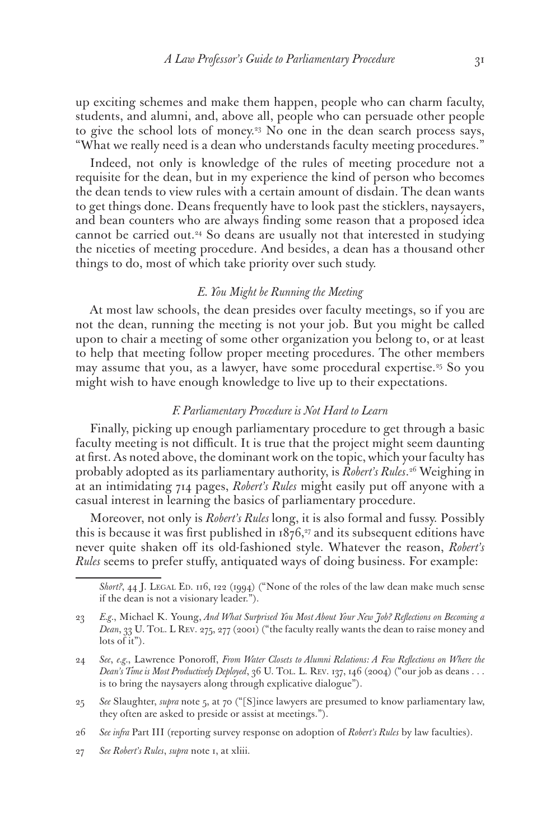up exciting schemes and make them happen, people who can charm faculty, students, and alumni, and, above all, people who can persuade other people to give the school lots of money.<sup>23</sup> No one in the dean search process says, "What we really need is a dean who understands faculty meeting procedures."

Indeed, not only is knowledge of the rules of meeting procedure not a requisite for the dean, but in my experience the kind of person who becomes the dean tends to view rules with a certain amount of disdain. The dean wants to get things done. Deans frequently have to look past the sticklers, naysayers, and bean counters who are always finding some reason that a proposed idea cannot be carried out.<sup>24</sup> So deans are usually not that interested in studying the niceties of meeting procedure. And besides, a dean has a thousand other things to do, most of which take priority over such study.

#### *E. You Might be Running the Meeting*

At most law schools, the dean presides over faculty meetings, so if you are not the dean, running the meeting is not your job. But you might be called upon to chair a meeting of some other organization you belong to, or at least to help that meeting follow proper meeting procedures. The other members may assume that you, as a lawyer, have some procedural expertise.<sup>25</sup> So you might wish to have enough knowledge to live up to their expectations.

#### *F. Parliamentary Procedure is Not Hard to Learn*

Finally, picking up enough parliamentary procedure to get through a basic faculty meeting is not difficult. It is true that the project might seem daunting at first. As noted above, the dominant work on the topic, which your faculty has probably adopted as its parliamentary authority, is *Robert's Rules*. 26 Weighing in at an intimidating 714 pages, *Robert's Rules* might easily put off anyone with a casual interest in learning the basics of parliamentary procedure.

Moreover, not only is *Robert's Rules* long, it is also formal and fussy. Possibly this is because it was first published in  $1876$ ,<sup>27</sup> and its subsequent editions have never quite shaken off its old-fashioned style. Whatever the reason, *Robert's Rules* seems to prefer stuffy, antiquated ways of doing business. For example:

*Short?*, 44 J. LEGAL ED. 116, 122 (1994) ("None of the roles of the law dean make much sense if the dean is not a visionary leader.").

<sup>23</sup> *E.g.*, Michael K. Young, *And What Surprised You Most About Your New Job? Reflections on Becoming a Dean*, 33 U. Tol. L Rev. 275, 277 (2001) ("the faculty really wants the dean to raise money and lots of it").

<sup>24</sup> *See*, *e.g.*, Lawrence Ponoroff, *From Water Closets to Alumni Relations: A Few Reflections on Where the Dean's Time is Most Productively Deployed*, 36 U. Tol. L. Rev. 137, 146 (2004) ("our job as deans . . . is to bring the naysayers along through explicative dialogue").

<sup>25</sup> *See* Slaughter, *supra* note 5, at 70 ("[S]ince lawyers are presumed to know parliamentary law, they often are asked to preside or assist at meetings.").

<sup>26</sup> *See infra* Part III (reporting survey response on adoption of *Robert's Rules* by law faculties).

<sup>27</sup> *See Robert's Rules*, *supra* note 1, at xliii.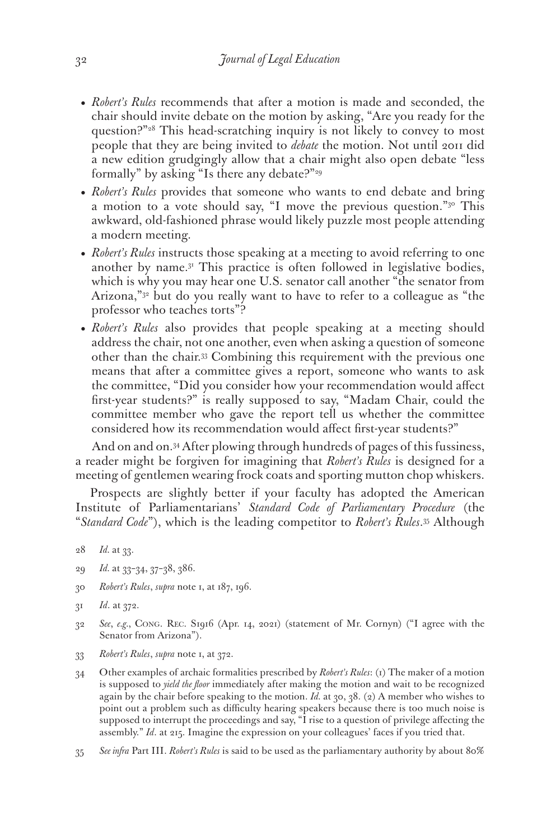- *• Robert's Rules* recommends that after a motion is made and seconded, the chair should invite debate on the motion by asking, "Are you ready for the question?"<sup>28</sup> This head-scratching inquiry is not likely to convey to most people that they are being invited to *debate* the motion. Not until 2011 did a new edition grudgingly allow that a chair might also open debate "less formally" by asking "Is there any debate?"29
- *• Robert's Rules* provides that someone who wants to end debate and bring a motion to a vote should say, "I move the previous question."30 This awkward, old-fashioned phrase would likely puzzle most people attending a modern meeting.
- *• Robert's Rules* instructs those speaking at a meeting to avoid referring to one another by name.<sup>31</sup> This practice is often followed in legislative bodies, which is why you may hear one U.S. senator call another "the senator from Arizona,"<sup>32</sup> but do you really want to have to refer to a colleague as "the professor who teaches torts"?
- *• Robert's Rules* also provides that people speaking at a meeting should address the chair, not one another, even when asking a question of someone other than the chair.33 Combining this requirement with the previous one means that after a committee gives a report, someone who wants to ask the committee, "Did you consider how your recommendation would affect first-year students?" is really supposed to say, "Madam Chair, could the committee member who gave the report tell us whether the committee considered how its recommendation would affect first-year students?"

 And on and on.34 After plowing through hundreds of pages of this fussiness, a reader might be forgiven for imagining that *Robert's Rules* is designed for a meeting of gentlemen wearing frock coats and sporting mutton chop whiskers.

Prospects are slightly better if your faculty has adopted the American Institute of Parliamentarians' *Standard Code of Parliamentary Procedure* (the "*Standard Code*"), which is the leading competitor to *Robert's Rules*. 35 Although

- 29 *Id.* at 33–34, 37–38, 386.
- 30 *Robert's Rules*, *supra* note 1, at 187, 196.
- 31 *Id*. at 372.
- 32 *See*, *e.g.*, Cong. Rec. S1916 (Apr. 14, 2021) (statement of Mr. Cornyn) ("I agree with the Senator from Arizona").
- 33 *Robert's Rules*, *supra* note 1, at 372.
- 34 Other examples of archaic formalities prescribed by *Robert's Rules*: (1) The maker of a motion is supposed to *yield the floor* immediately after making the motion and wait to be recognized again by the chair before speaking to the motion. *Id.* at 30, 38. (2) A member who wishes to point out a problem such as difficulty hearing speakers because there is too much noise is supposed to interrupt the proceedings and say, "I rise to a question of privilege affecting the assembly." *Id*. at 215. Imagine the expression on your colleagues' faces if you tried that.
- 35 *See infra* Part III. *Robert's Rules* is said to be used as the parliamentary authority by about 80%

<sup>28</sup> *Id.* at 33.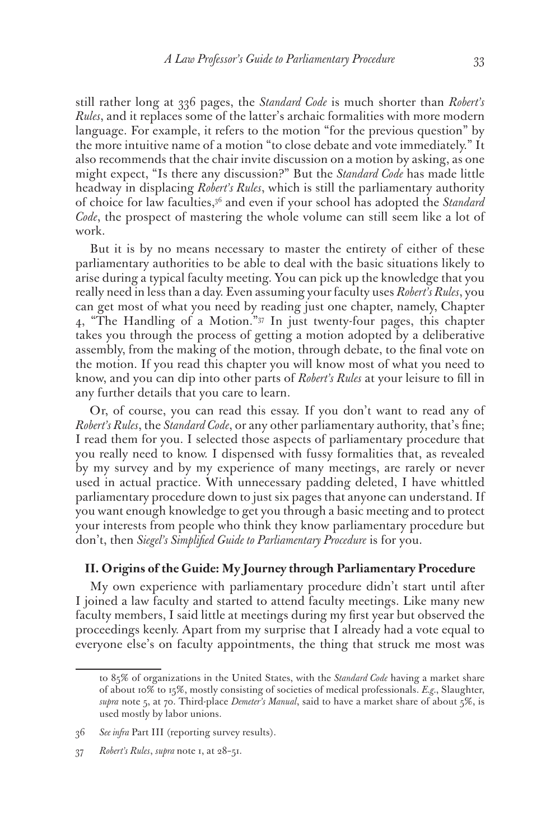still rather long at 336 pages, the *Standard Code* is much shorter than *Robert's Rules*, and it replaces some of the latter's archaic formalities with more modern language. For example, it refers to the motion "for the previous question" by the more intuitive name of a motion "to close debate and vote immediately." It also recommends that the chair invite discussion on a motion by asking, as one might expect, "Is there any discussion?" But the *Standard Code* has made little headway in displacing *Robert's Rules*, which is still the parliamentary authority of choice for law faculties,36 and even if your school has adopted the *Standard Code*, the prospect of mastering the whole volume can still seem like a lot of work.

But it is by no means necessary to master the entirety of either of these parliamentary authorities to be able to deal with the basic situations likely to arise during a typical faculty meeting. You can pick up the knowledge that you really need in less than a day. Even assuming your faculty uses *Robert's Rules*, you can get most of what you need by reading just one chapter, namely, Chapter 4, "The Handling of a Motion."37 In just twenty-four pages, this chapter takes you through the process of getting a motion adopted by a deliberative assembly, from the making of the motion, through debate, to the final vote on the motion. If you read this chapter you will know most of what you need to know, and you can dip into other parts of *Robert's Rules* at your leisure to fill in any further details that you care to learn.

Or, of course, you can read this essay. If you don't want to read any of *Robert's Rules*, the *Standard Code*, or any other parliamentary authority, that's fine; I read them for you. I selected those aspects of parliamentary procedure that you really need to know. I dispensed with fussy formalities that, as revealed by my survey and by my experience of many meetings, are rarely or never used in actual practice. With unnecessary padding deleted, I have whittled parliamentary procedure down to just six pages that anyone can understand. If you want enough knowledge to get you through a basic meeting and to protect your interests from people who think they know parliamentary procedure but don't, then *Siegel's Simplified Guide to Parliamentary Procedure* is for you.

#### **II. Origins of the Guide: My Journey through Parliamentary Procedure**

My own experience with parliamentary procedure didn't start until after I joined a law faculty and started to attend faculty meetings. Like many new faculty members, I said little at meetings during my first year but observed the proceedings keenly. Apart from my surprise that I already had a vote equal to everyone else's on faculty appointments, the thing that struck me most was

to 85% of organizations in the United States, with the *Standard Code* having a market share of about 10% to 15%, mostly consisting of societies of medical professionals. *E.g.*, Slaughter, *supra* note 5, at 70. Third-place *Demeter's Manual*, said to have a market share of about 5%, is used mostly by labor unions.

<sup>36</sup> *See infra* Part III (reporting survey results).

<sup>37</sup> *Robert's Rules*, *supra* note 1, at 28–51.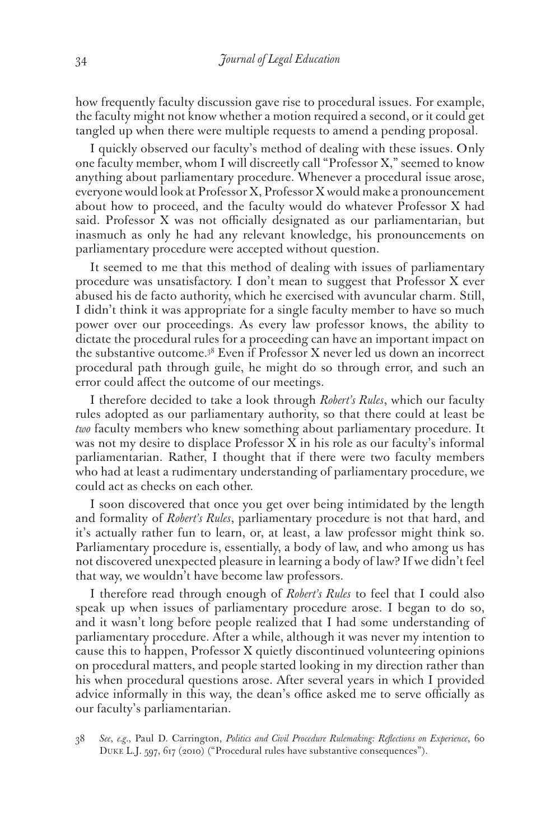how frequently faculty discussion gave rise to procedural issues. For example, the faculty might not know whether a motion required a second, or it could get tangled up when there were multiple requests to amend a pending proposal.

I quickly observed our faculty's method of dealing with these issues. Only one faculty member, whom I will discreetly call "Professor X," seemed to know anything about parliamentary procedure. Whenever a procedural issue arose, everyone would look at Professor X, Professor X would make a pronouncement about how to proceed, and the faculty would do whatever Professor X had said. Professor X was not officially designated as our parliamentarian, but inasmuch as only he had any relevant knowledge, his pronouncements on parliamentary procedure were accepted without question.

It seemed to me that this method of dealing with issues of parliamentary procedure was unsatisfactory. I don't mean to suggest that Professor X ever abused his de facto authority, which he exercised with avuncular charm. Still, I didn't think it was appropriate for a single faculty member to have so much power over our proceedings. As every law professor knows, the ability to dictate the procedural rules for a proceeding can have an important impact on the substantive outcome.38 Even if Professor X never led us down an incorrect procedural path through guile, he might do so through error, and such an error could affect the outcome of our meetings.

I therefore decided to take a look through *Robert's Rules*, which our faculty rules adopted as our parliamentary authority, so that there could at least be *two* faculty members who knew something about parliamentary procedure. It was not my desire to displace Professor X in his role as our faculty's informal parliamentarian. Rather, I thought that if there were two faculty members who had at least a rudimentary understanding of parliamentary procedure, we could act as checks on each other.

I soon discovered that once you get over being intimidated by the length and formality of *Robert's Rules*, parliamentary procedure is not that hard, and it's actually rather fun to learn, or, at least, a law professor might think so. Parliamentary procedure is, essentially, a body of law, and who among us has not discovered unexpected pleasure in learning a body of law? If we didn't feel that way, we wouldn't have become law professors.

I therefore read through enough of *Robert's Rules* to feel that I could also speak up when issues of parliamentary procedure arose. I began to do so, and it wasn't long before people realized that I had some understanding of parliamentary procedure. After a while, although it was never my intention to cause this to happen, Professor X quietly discontinued volunteering opinions on procedural matters, and people started looking in my direction rather than his when procedural questions arose. After several years in which I provided advice informally in this way, the dean's office asked me to serve officially as our faculty's parliamentarian.

38 *See*, *e.g.*, Paul D. Carrington, *Politics and Civil Procedure Rulemaking: Reflections on Experience*, 60 Duke L.J. 597, 617 (2010) ("Procedural rules have substantive consequences").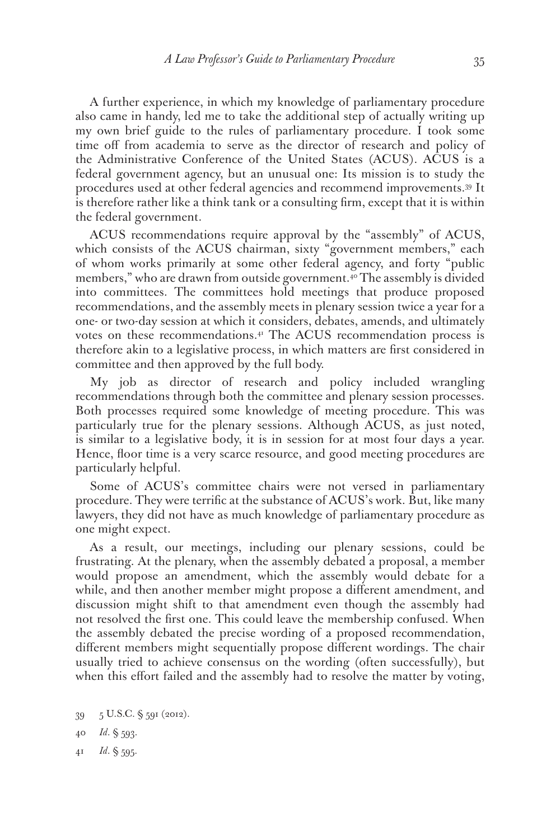A further experience, in which my knowledge of parliamentary procedure also came in handy, led me to take the additional step of actually writing up my own brief guide to the rules of parliamentary procedure. I took some time off from academia to serve as the director of research and policy of the Administrative Conference of the United States (ACUS). ACUS is a federal government agency, but an unusual one: Its mission is to study the procedures used at other federal agencies and recommend improvements.39 It is therefore rather like a think tank or a consulting firm, except that it is within the federal government.

ACUS recommendations require approval by the "assembly" of ACUS, which consists of the ACUS chairman, sixty "government members," each of whom works primarily at some other federal agency, and forty "public members," who are drawn from outside government.<sup>40</sup> The assembly is divided into committees. The committees hold meetings that produce proposed recommendations, and the assembly meets in plenary session twice a year for a one- or two-day session at which it considers, debates, amends, and ultimately votes on these recommendations.<sup>41</sup> The ACUS recommendation process is therefore akin to a legislative process, in which matters are first considered in committee and then approved by the full body.

My job as director of research and policy included wrangling recommendations through both the committee and plenary session processes. Both processes required some knowledge of meeting procedure. This was particularly true for the plenary sessions. Although ACUS, as just noted, is similar to a legislative body, it is in session for at most four days a year. Hence, floor time is a very scarce resource, and good meeting procedures are particularly helpful.

Some of ACUS's committee chairs were not versed in parliamentary procedure. They were terrific at the substance of ACUS's work. But, like many lawyers, they did not have as much knowledge of parliamentary procedure as one might expect.

As a result, our meetings, including our plenary sessions, could be frustrating. At the plenary, when the assembly debated a proposal, a member would propose an amendment, which the assembly would debate for a while, and then another member might propose a different amendment, and discussion might shift to that amendment even though the assembly had not resolved the first one. This could leave the membership confused. When the assembly debated the precise wording of a proposed recommendation, different members might sequentially propose different wordings. The chair usually tried to achieve consensus on the wording (often successfully), but when this effort failed and the assembly had to resolve the matter by voting,

41 *Id*. § 595.

<sup>39</sup> 5 U.S.C. § 591 (2012).

<sup>40</sup> *Id*. § 593.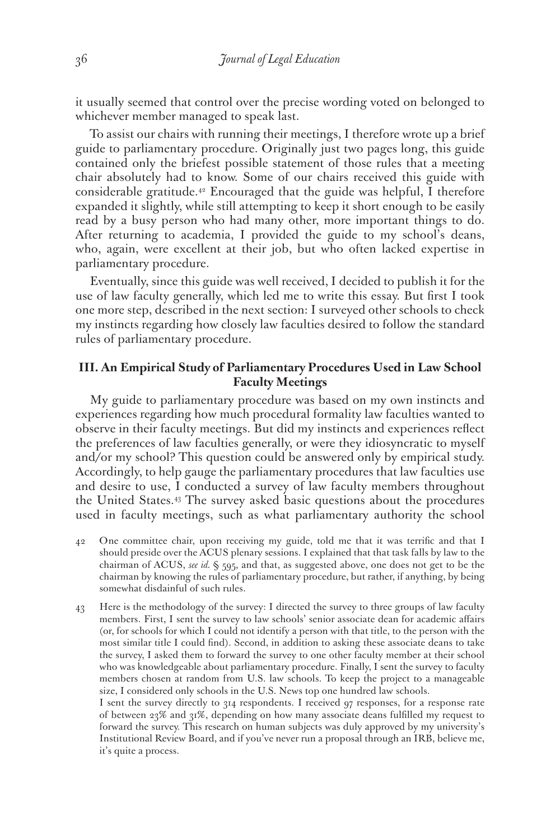it usually seemed that control over the precise wording voted on belonged to whichever member managed to speak last.

To assist our chairs with running their meetings, I therefore wrote up a brief guide to parliamentary procedure. Originally just two pages long, this guide contained only the briefest possible statement of those rules that a meeting chair absolutely had to know. Some of our chairs received this guide with considerable gratitude.42 Encouraged that the guide was helpful, I therefore expanded it slightly, while still attempting to keep it short enough to be easily read by a busy person who had many other, more important things to do. After returning to academia, I provided the guide to my school's deans, who, again, were excellent at their job, but who often lacked expertise in parliamentary procedure.

Eventually, since this guide was well received, I decided to publish it for the use of law faculty generally, which led me to write this essay. But first I took one more step, described in the next section: I surveyed other schools to check my instincts regarding how closely law faculties desired to follow the standard rules of parliamentary procedure.

## **III. An Empirical Study of Parliamentary Procedures Used in Law School Faculty Meetings**

My guide to parliamentary procedure was based on my own instincts and experiences regarding how much procedural formality law faculties wanted to observe in their faculty meetings. But did my instincts and experiences reflect the preferences of law faculties generally, or were they idiosyncratic to myself and/or my school? This question could be answered only by empirical study. Accordingly, to help gauge the parliamentary procedures that law faculties use and desire to use, I conducted a survey of law faculty members throughout the United States.43 The survey asked basic questions about the procedures used in faculty meetings, such as what parliamentary authority the school

- 42 One committee chair, upon receiving my guide, told me that it was terrific and that I should preside over the ACUS plenary sessions. I explained that that task falls by law to the chairman of ACUS, *see id.* § 595, and that, as suggested above, one does not get to be the chairman by knowing the rules of parliamentary procedure, but rather, if anything, by being somewhat disdainful of such rules.
- 43 Here is the methodology of the survey: I directed the survey to three groups of law faculty members. First, I sent the survey to law schools' senior associate dean for academic affairs (or, for schools for which I could not identify a person with that title, to the person with the most similar title I could find). Second, in addition to asking these associate deans to take the survey, I asked them to forward the survey to one other faculty member at their school who was knowledgeable about parliamentary procedure. Finally, I sent the survey to faculty members chosen at random from U.S. law schools. To keep the project to a manageable size, I considered only schools in the U.S. News top one hundred law schools.

I sent the survey directly to 314 respondents. I received 97 responses, for a response rate of between 23% and 31%, depending on how many associate deans fulfilled my request to forward the survey. This research on human subjects was duly approved by my university's Institutional Review Board, and if you've never run a proposal through an IRB, believe me, it's quite a process.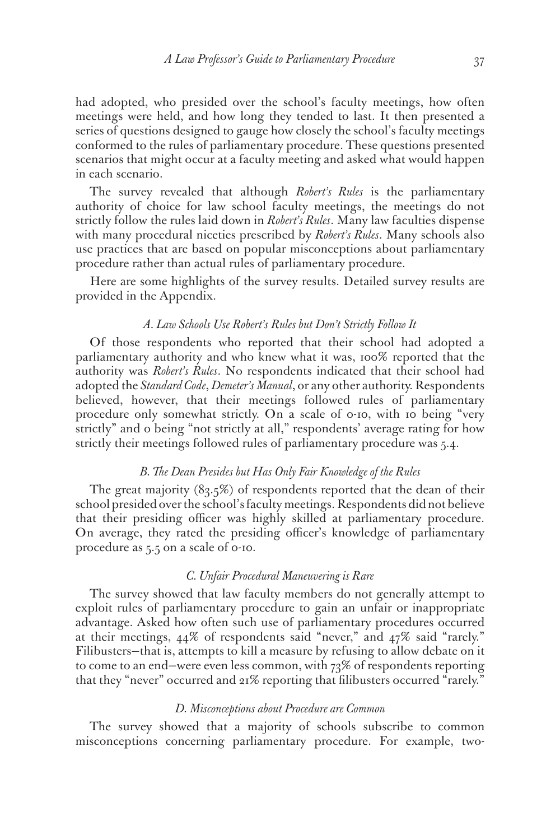had adopted, who presided over the school's faculty meetings, how often meetings were held, and how long they tended to last. It then presented a series of questions designed to gauge how closely the school's faculty meetings conformed to the rules of parliamentary procedure. These questions presented scenarios that might occur at a faculty meeting and asked what would happen in each scenario.

The survey revealed that although *Robert's Rules* is the parliamentary authority of choice for law school faculty meetings, the meetings do not strictly follow the rules laid down in *Robert's Rules*. Many law faculties dispense with many procedural niceties prescribed by *Robert's Rules*. Many schools also use practices that are based on popular misconceptions about parliamentary procedure rather than actual rules of parliamentary procedure.

Here are some highlights of the survey results. Detailed survey results are provided in the Appendix.

#### *A. Law Schools Use Robert's Rules but Don't Strictly Follow It*

Of those respondents who reported that their school had adopted a parliamentary authority and who knew what it was, 100% reported that the authority was *Robert's Rules*. No respondents indicated that their school had adopted the *Standard Code*, *Demeter's Manual*, or any other authority. Respondents believed, however, that their meetings followed rules of parliamentary procedure only somewhat strictly. On a scale of 0-10, with 10 being "very strictly" and 0 being "not strictly at all," respondents' average rating for how strictly their meetings followed rules of parliamentary procedure was 5.4.

#### *B. The Dean Presides but Has Only Fair Knowledge of the Rules*

The great majority (83.5%) of respondents reported that the dean of their school presided over the school's faculty meetings. Respondents did not believe that their presiding officer was highly skilled at parliamentary procedure. On average, they rated the presiding officer's knowledge of parliamentary procedure as 5.5 on a scale of o-10.

#### *C. Unfair Procedural Maneuvering is Rare*

The survey showed that law faculty members do not generally attempt to exploit rules of parliamentary procedure to gain an unfair or inappropriate advantage. Asked how often such use of parliamentary procedures occurred at their meetings, 44% of respondents said "never," and 47% said "rarely." Filibusters—that is, attempts to kill a measure by refusing to allow debate on it to come to an end—were even less common, with 73% of respondents reporting that they "never" occurred and 21% reporting that filibusters occurred "rarely."

#### *D. Misconceptions about Procedure are Common*

The survey showed that a majority of schools subscribe to common misconceptions concerning parliamentary procedure. For example, two-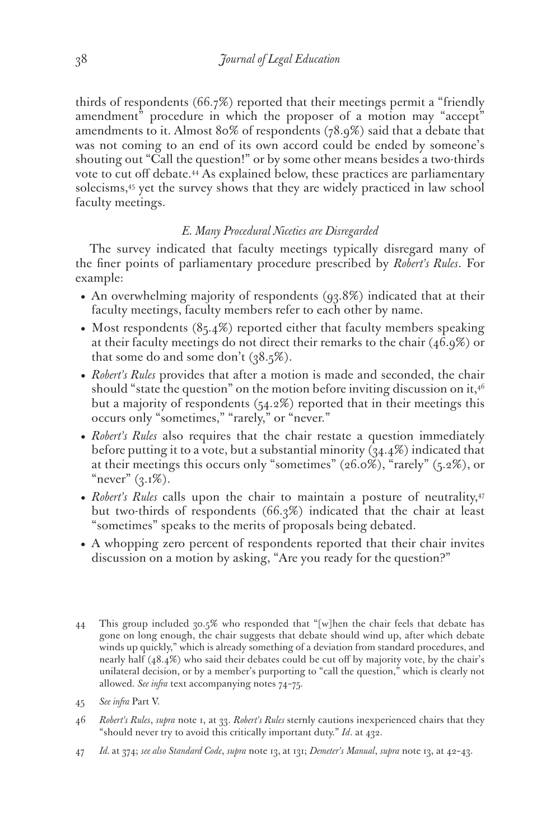thirds of respondents (66.7%) reported that their meetings permit a "friendly amendment" procedure in which the proposer of a motion may "accept" amendments to it. Almost 80% of respondents (78.9%) said that a debate that was not coming to an end of its own accord could be ended by someone's shouting out "Call the question!" or by some other means besides a two-thirds vote to cut off debate.44 As explained below, these practices are parliamentary solecisms,<sup>45</sup> yet the survey shows that they are widely practiced in law school faculty meetings.

## *E. Many Procedural Niceties are Disregarded*

The survey indicated that faculty meetings typically disregard many of the finer points of parliamentary procedure prescribed by *Robert's Rules*. For example:

- An overwhelming majority of respondents (93.8%) indicated that at their faculty meetings, faculty members refer to each other by name.
- Most respondents (85.4%) reported either that faculty members speaking at their faculty meetings do not direct their remarks to the chair (46.9%) or that some do and some don't  $(38.5\%)$ .
- *• Robert's Rules* provides that after a motion is made and seconded, the chair should "state the question" on the motion before inviting discussion on it, $4^6$ but a majority of respondents (54.2%) reported that in their meetings this occurs only "sometimes," "rarely," or "never."
- *• Robert's Rules* also requires that the chair restate a question immediately before putting it to a vote, but a substantial minority  $(34.4\%)$  indicated that at their meetings this occurs only "sometimes" (26.0%), "rarely" (5.2%), or "never"  $(3.1\%)$ .
- *Robert's Rules* calls upon the chair to maintain a posture of neutrality,<sup>47</sup> but two-thirds of respondents (66.3%) indicated that the chair at least "sometimes" speaks to the merits of proposals being debated.
- A whopping zero percent of respondents reported that their chair invites discussion on a motion by asking, "Are you ready for the question?"

- 46 *Robert's Rules*, *supra* note 1, at 33. *Robert's Rules* sternly cautions inexperienced chairs that they "should never try to avoid this critically important duty." *Id*. at 432.
- 47 *Id.* at 374; *see also Standard Code*, *supra* note 13, at 131; *Demeter's Manual*, *supra* note 13, at 42–43.

<sup>44</sup> This group included 30.5% who responded that "[w]hen the chair feels that debate has gone on long enough, the chair suggests that debate should wind up, after which debate winds up quickly," which is already something of a deviation from standard procedures, and nearly half (48.4%) who said their debates could be cut off by majority vote, by the chair's unilateral decision, or by a member's purporting to "call the question," which is clearly not allowed. *See infra* text accompanying notes 74–75.

<sup>45</sup> *See infra* Part V.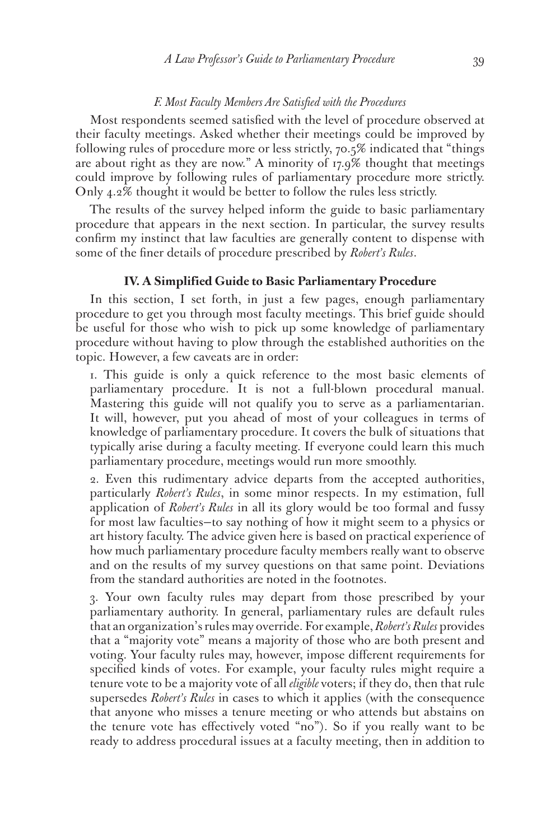#### *F. Most Faculty Members Are Satisfied with the Procedures*

Most respondents seemed satisfied with the level of procedure observed at their faculty meetings. Asked whether their meetings could be improved by following rules of procedure more or less strictly, 70.5% indicated that "things are about right as they are now." A minority of 17.9% thought that meetings could improve by following rules of parliamentary procedure more strictly. Only 4.2% thought it would be better to follow the rules less strictly.

The results of the survey helped inform the guide to basic parliamentary procedure that appears in the next section. In particular, the survey results confirm my instinct that law faculties are generally content to dispense with some of the finer details of procedure prescribed by *Robert's Rules*.

#### **IV. A Simplified Guide to Basic Parliamentary Procedure**

In this section, I set forth, in just a few pages, enough parliamentary procedure to get you through most faculty meetings. This brief guide should be useful for those who wish to pick up some knowledge of parliamentary procedure without having to plow through the established authorities on the topic. However, a few caveats are in order:

1. This guide is only a quick reference to the most basic elements of parliamentary procedure. It is not a full-blown procedural manual. Mastering this guide will not qualify you to serve as a parliamentarian. It will, however, put you ahead of most of your colleagues in terms of knowledge of parliamentary procedure. It covers the bulk of situations that typically arise during a faculty meeting. If everyone could learn this much parliamentary procedure, meetings would run more smoothly.

2. Even this rudimentary advice departs from the accepted authorities, particularly *Robert's Rules*, in some minor respects. In my estimation, full application of *Robert's Rules* in all its glory would be too formal and fussy for most law faculties—to say nothing of how it might seem to a physics or art history faculty. The advice given here is based on practical experience of how much parliamentary procedure faculty members really want to observe and on the results of my survey questions on that same point. Deviations from the standard authorities are noted in the footnotes.

3. Your own faculty rules may depart from those prescribed by your parliamentary authority. In general, parliamentary rules are default rules that an organization's rules may override. For example, *Robert's Rules* provides that a "majority vote" means a majority of those who are both present and voting. Your faculty rules may, however, impose different requirements for specified kinds of votes. For example, your faculty rules might require a tenure vote to be a majority vote of all *eligible* voters; if they do, then that rule supersedes *Robert's Rules* in cases to which it applies (with the consequence that anyone who misses a tenure meeting or who attends but abstains on the tenure vote has effectively voted "no"). So if you really want to be ready to address procedural issues at a faculty meeting, then in addition to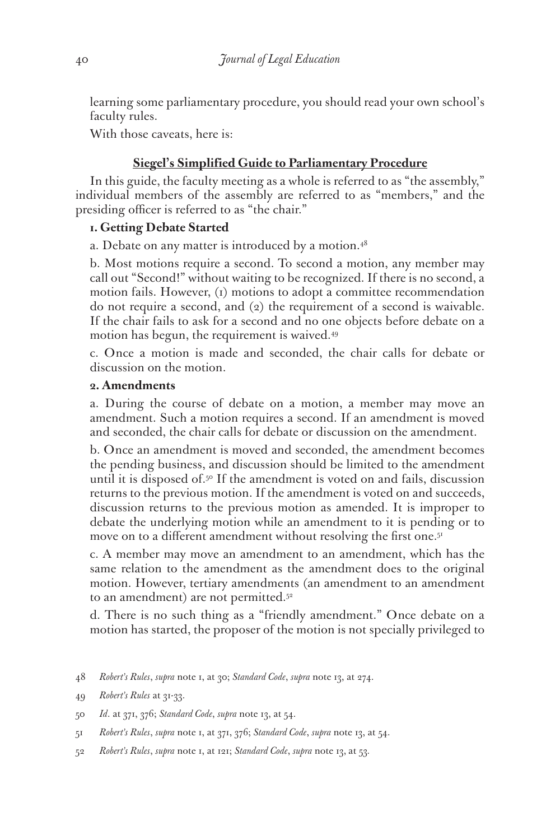learning some parliamentary procedure, you should read your own school's faculty rules.

With those caveats, here is:

## **Siegel's Simplified Guide to Parliamentary Procedure**

In this guide, the faculty meeting as a whole is referred to as "the assembly," individual members of the assembly are referred to as "members," and the presiding officer is referred to as "the chair."

## **1. Getting Debate Started**

a. Debate on any matter is introduced by a motion.<sup>48</sup>

b. Most motions require a second. To second a motion, any member may call out "Second!" without waiting to be recognized. If there is no second, a motion fails. However, (1) motions to adopt a committee recommendation do not require a second, and (2) the requirement of a second is waivable. If the chair fails to ask for a second and no one objects before debate on a motion has begun, the requirement is waived.49

c. Once a motion is made and seconded, the chair calls for debate or discussion on the motion.

## **2. Amendments**

a. During the course of debate on a motion, a member may move an amendment. Such a motion requires a second. If an amendment is moved and seconded, the chair calls for debate or discussion on the amendment.

b. Once an amendment is moved and seconded, the amendment becomes the pending business, and discussion should be limited to the amendment until it is disposed of.<sup>50</sup> If the amendment is voted on and fails, discussion returns to the previous motion. If the amendment is voted on and succeeds, discussion returns to the previous motion as amended. It is improper to debate the underlying motion while an amendment to it is pending or to move on to a different amendment without resolving the first one.<sup>51</sup>

c. A member may move an amendment to an amendment, which has the same relation to the amendment as the amendment does to the original motion. However, tertiary amendments (an amendment to an amendment to an amendment) are not permitted.<sup>52</sup>

d. There is no such thing as a "friendly amendment." Once debate on a motion has started, the proposer of the motion is not specially privileged to

- 48 *Robert's Rules*, *supra* note 1, at 30; *Standard Code*, *supra* note 13, at 274.
- 49 *Robert's Rules* at 31-33.
- 50 *Id*. at 371, 376; *Standard Code*, *supra* note 13, at 54.
- 51 *Robert's Rules*, *supra* note 1, at 371, 376; *Standard Code*, *supra* note 13, at 54.
- 52 *Robert's Rules*, *supra* note 1, at 121; *Standard Code*, *supra* note 13, at 53*.*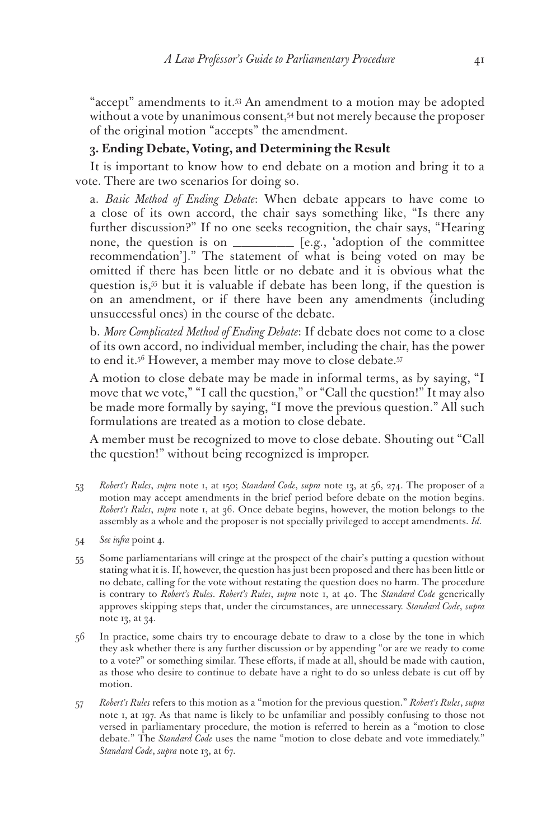"accept" amendments to it.53 An amendment to a motion may be adopted without a vote by unanimous consent,<sup>54</sup> but not merely because the proposer of the original motion "accepts" the amendment.

## **3. Ending Debate, Voting, and Determining the Result**

It is important to know how to end debate on a motion and bring it to a vote. There are two scenarios for doing so.

a. *Basic Method of Ending Debate*: When debate appears to have come to a close of its own accord, the chair says something like, "Is there any further discussion?" If no one seeks recognition, the chair says, "Hearing none, the question is on \_\_\_\_\_\_\_ [e.g., 'adoption of the committee recommendation']." The statement of what is being voted on may be omitted if there has been little or no debate and it is obvious what the question is,55 but it is valuable if debate has been long, if the question is on an amendment, or if there have been any amendments (including unsuccessful ones) in the course of the debate.

b. *More Complicated Method of Ending Debate*: If debate does not come to a close of its own accord, no individual member, including the chair, has the power to end it.<sup>56</sup> However, a member may move to close debate.<sup>57</sup>

A motion to close debate may be made in informal terms, as by saying, "I move that we vote," "I call the question," or "Call the question!" It may also be made more formally by saying, "I move the previous question." All such formulations are treated as a motion to close debate.

A member must be recognized to move to close debate. Shouting out "Call the question!" without being recognized is improper.

- 53 *Robert's Rules*, *supra* note 1, at 150; *Standard Code*, *supra* note 13, at 56, 274. The proposer of a motion may accept amendments in the brief period before debate on the motion begins. *Robert's Rules*, *supra* note 1, at 36. Once debate begins, however, the motion belongs to the assembly as a whole and the proposer is not specially privileged to accept amendments. *Id*.
- 54 *See infra* point 4.
- 55 Some parliamentarians will cringe at the prospect of the chair's putting a question without stating what it is. If, however, the question has just been proposed and there has been little or no debate, calling for the vote without restating the question does no harm. The procedure is contrary to *Robert's Rules*. *Robert's Rules*, *supra* note 1, at 40. The *Standard Code* generically approves skipping steps that, under the circumstances, are unnecessary. *Standard Code*, *supra* note 13, at 34.
- 56 In practice, some chairs try to encourage debate to draw to a close by the tone in which they ask whether there is any further discussion or by appending "or are we ready to come to a vote?" or something similar. These efforts, if made at all, should be made with caution, as those who desire to continue to debate have a right to do so unless debate is cut off by motion.
- 57 *Robert's Rules* refers to this motion as a "motion for the previous question." *Robert's Rules*, *supra* note 1, at 197. As that name is likely to be unfamiliar and possibly confusing to those not versed in parliamentary procedure, the motion is referred to herein as a "motion to close debate." The *Standard Code* uses the name "motion to close debate and vote immediately." *Standard Code*, *supra* note 13, at 67.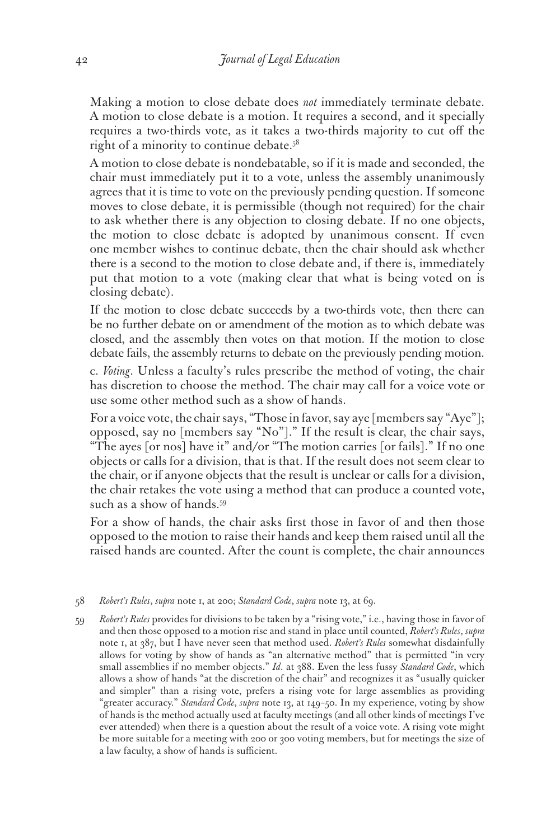Making a motion to close debate does *not* immediately terminate debate. A motion to close debate is a motion. It requires a second, and it specially requires a two-thirds vote, as it takes a two-thirds majority to cut off the right of a minority to continue debate.58

A motion to close debate is nondebatable, so if it is made and seconded, the chair must immediately put it to a vote, unless the assembly unanimously agrees that it is time to vote on the previously pending question. If someone moves to close debate, it is permissible (though not required) for the chair to ask whether there is any objection to closing debate. If no one objects, the motion to close debate is adopted by unanimous consent. If even one member wishes to continue debate, then the chair should ask whether there is a second to the motion to close debate and, if there is, immediately put that motion to a vote (making clear that what is being voted on is closing debate).

If the motion to close debate succeeds by a two-thirds vote, then there can be no further debate on or amendment of the motion as to which debate was closed, and the assembly then votes on that motion. If the motion to close debate fails, the assembly returns to debate on the previously pending motion.

c. *Voting*. Unless a faculty's rules prescribe the method of voting, the chair has discretion to choose the method. The chair may call for a voice vote or use some other method such as a show of hands.

For a voice vote, the chair says, "Those in favor, say aye [members say "Aye"]; opposed, say no [members say "No"]." If the result is clear, the chair says, "The ayes [or nos] have it" and/or "The motion carries [or fails]." If no one objects or calls for a division, that is that. If the result does not seem clear to the chair, or if anyone objects that the result is unclear or calls for a division, the chair retakes the vote using a method that can produce a counted vote, such as a show of hands.<sup>59</sup>

For a show of hands, the chair asks first those in favor of and then those opposed to the motion to raise their hands and keep them raised until all the raised hands are counted. After the count is complete, the chair announces

#### 58 *Robert's Rules*, *supra* note 1, at 200; *Standard Code*, *supra* note 13, at 69.

59 *Robert's Rules* provides for divisions to be taken by a "rising vote," i.e., having those in favor of and then those opposed to a motion rise and stand in place until counted, *Robert's Rules*, *supra*  note 1, at 387, but I have never seen that method used. *Robert's Rules* somewhat disdainfully allows for voting by show of hands as "an alternative method" that is permitted "in very small assemblies if no member objects." *Id*. at 388. Even the less fussy *Standard Code*, which allows a show of hands "at the discretion of the chair" and recognizes it as "usually quicker and simpler" than a rising vote, prefers a rising vote for large assemblies as providing "greater accuracy." *Standard Code*, *supra* note 13, at 149–50. In my experience, voting by show of hands is the method actually used at faculty meetings (and all other kinds of meetings I've ever attended) when there is a question about the result of a voice vote. A rising vote might be more suitable for a meeting with 200 or 300 voting members, but for meetings the size of a law faculty, a show of hands is sufficient.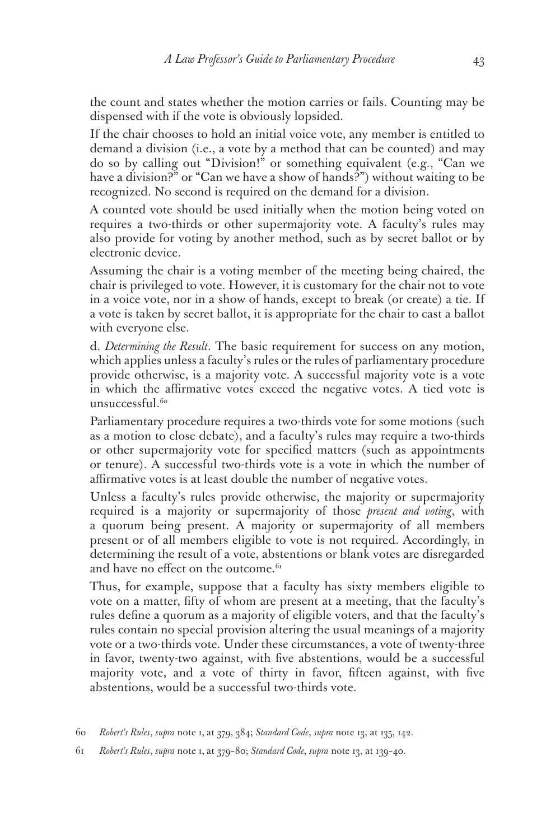the count and states whether the motion carries or fails. Counting may be dispensed with if the vote is obviously lopsided.

If the chair chooses to hold an initial voice vote, any member is entitled to demand a division (i.e., a vote by a method that can be counted) and may do so by calling out "Division!" or something equivalent (e.g., "Can we have a division?" or "Can we have a show of hands?") without waiting to be recognized. No second is required on the demand for a division.

A counted vote should be used initially when the motion being voted on requires a two-thirds or other supermajority vote. A faculty's rules may also provide for voting by another method, such as by secret ballot or by electronic device.

Assuming the chair is a voting member of the meeting being chaired, the chair is privileged to vote. However, it is customary for the chair not to vote in a voice vote, nor in a show of hands, except to break (or create) a tie. If a vote is taken by secret ballot, it is appropriate for the chair to cast a ballot with everyone else.

d. *Determining the Result*. The basic requirement for success on any motion, which applies unless a faculty's rules or the rules of parliamentary procedure provide otherwise, is a majority vote. A successful majority vote is a vote in which the affirmative votes exceed the negative votes. A tied vote is unsuccessful.<sup>60</sup>

Parliamentary procedure requires a two-thirds vote for some motions (such as a motion to close debate), and a faculty's rules may require a two-thirds or other supermajority vote for specified matters (such as appointments or tenure). A successful two-thirds vote is a vote in which the number of affirmative votes is at least double the number of negative votes.

Unless a faculty's rules provide otherwise, the majority or supermajority required is a majority or supermajority of those *present and voting*, with a quorum being present. A majority or supermajority of all members present or of all members eligible to vote is not required. Accordingly, in determining the result of a vote, abstentions or blank votes are disregarded and have no effect on the outcome.<sup>61</sup>

Thus, for example, suppose that a faculty has sixty members eligible to vote on a matter, fifty of whom are present at a meeting, that the faculty's rules define a quorum as a majority of eligible voters, and that the faculty's rules contain no special provision altering the usual meanings of a majority vote or a two-thirds vote. Under these circumstances, a vote of twenty-three in favor, twenty-two against, with five abstentions, would be a successful majority vote, and a vote of thirty in favor, fifteen against, with five abstentions, would be a successful two-thirds vote.

<sup>60</sup> *Robert's Rules*, *supra* note 1, at 379, 384; *Standard Code*, *supra* note 13, at 135, 142.

<sup>61</sup> *Robert's Rules*, *supra* note 1, at 379–80; *Standard Code*, *supra* note 13, at 139–40.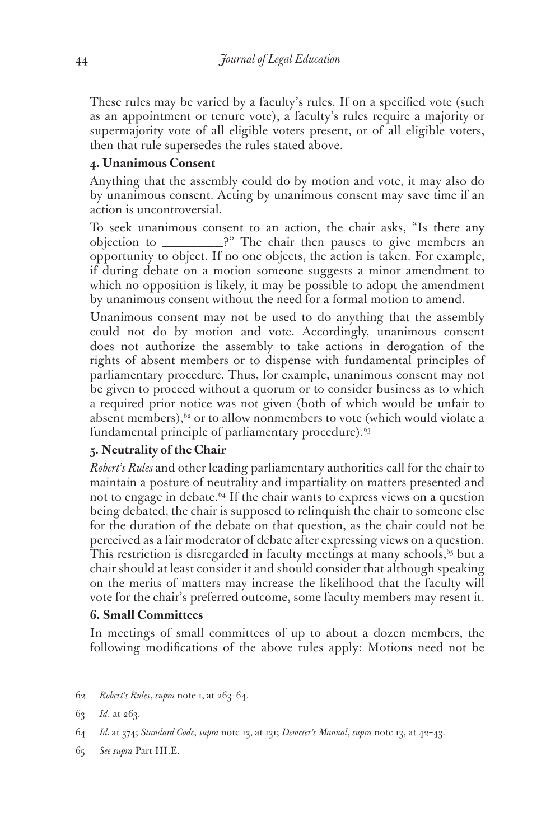These rules may be varied by a faculty's rules. If on a specified vote (such as an appointment or tenure vote), a faculty's rules require a majority or supermajority vote of all eligible voters present, or of all eligible voters, then that rule supersedes the rules stated above.

## **4. Unanimous Consent**

Anything that the assembly could do by motion and vote, it may also do by unanimous consent. Acting by unanimous consent may save time if an action is uncontroversial.

To seek unanimous consent to an action, the chair asks, "Is there any objection to \_\_\_\_\_\_\_?" The chair then pauses to give members an opportunity to object. If no one objects, the action is taken. For example, if during debate on a motion someone suggests a minor amendment to which no opposition is likely, it may be possible to adopt the amendment by unanimous consent without the need for a formal motion to amend.

Unanimous consent may not be used to do anything that the assembly could not do by motion and vote. Accordingly, unanimous consent does not authorize the assembly to take actions in derogation of the rights of absent members or to dispense with fundamental principles of parliamentary procedure. Thus, for example, unanimous consent may not be given to proceed without a quorum or to consider business as to which a required prior notice was not given (both of which would be unfair to absent members),<sup>62</sup> or to allow nonmembers to vote (which would violate a fundamental principle of parliamentary procedure).<sup>63</sup>

## **5. Neutrality of the Chair**

*Robert's Rules* and other leading parliamentary authorities call for the chair to maintain a posture of neutrality and impartiality on matters presented and not to engage in debate. $64$  If the chair wants to express views on a question being debated, the chair is supposed to relinquish the chair to someone else for the duration of the debate on that question, as the chair could not be perceived as a fair moderator of debate after expressing views on a question. This restriction is disregarded in faculty meetings at many schools,<sup>65</sup> but a chair should at least consider it and should consider that although speaking on the merits of matters may increase the likelihood that the faculty will vote for the chair's preferred outcome, some faculty members may resent it.

#### **6. Small Committees**

In meetings of small committees of up to about a dozen members, the following modifications of the above rules apply: Motions need not be

65 *See supra* Part III.E.

<sup>62</sup> *Robert's Rules*, *supra* note 1, at 263–64.

<sup>63</sup> *Id*. at 263.

<sup>64</sup> *Id.* at 374; *Standard Code*, *supra* note 13, at 131; *Demeter's Manual*, *supra* note 13, at 42–43.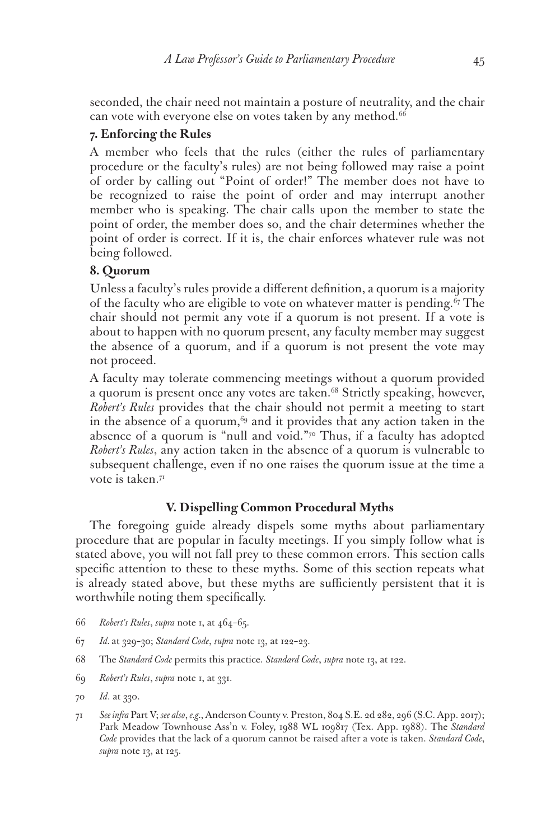seconded, the chair need not maintain a posture of neutrality, and the chair can vote with everyone else on votes taken by any method.<sup>66</sup>

## **7. Enforcing the Rules**

A member who feels that the rules (either the rules of parliamentary procedure or the faculty's rules) are not being followed may raise a point of order by calling out "Point of order!" The member does not have to be recognized to raise the point of order and may interrupt another member who is speaking. The chair calls upon the member to state the point of order, the member does so, and the chair determines whether the point of order is correct. If it is, the chair enforces whatever rule was not being followed.

## **8. Quorum**

Unless a faculty's rules provide a different definition, a quorum is a majority of the faculty who are eligible to vote on whatever matter is pending.<sup> $67$ </sup> The chair should not permit any vote if a quorum is not present. If a vote is about to happen with no quorum present, any faculty member may suggest the absence of a quorum, and if a quorum is not present the vote may not proceed.

A faculty may tolerate commencing meetings without a quorum provided a quorum is present once any votes are taken.<sup>68</sup> Strictly speaking, however, *Robert's Rules* provides that the chair should not permit a meeting to start in the absence of a quorum,  $69$  and it provides that any action taken in the absence of a quorum is "null and void." $\frac{70}{10}$  Thus, if a faculty has adopted *Robert's Rules*, any action taken in the absence of a quorum is vulnerable to subsequent challenge, even if no one raises the quorum issue at the time a vote is taken.<sup>71</sup>

## **V. Dispelling Common Procedural Myths**

The foregoing guide already dispels some myths about parliamentary procedure that are popular in faculty meetings. If you simply follow what is stated above, you will not fall prey to these common errors. This section calls specific attention to these to these myths. Some of this section repeats what is already stated above, but these myths are sufficiently persistent that it is worthwhile noting them specifically.

- 66 *Robert's Rules*, *supra* note 1, at 464–65.
- 67 *Id.* at 329–30; *Standard Code*, *supra* note 13, at 122–23.
- 68 The *Standard Code* permits this practice. *Standard Code*, *supra* note 13, at 122.
- 69 *Robert's Rules*, *supra* note 1, at 331.
- 70 *Id*. at 330.
- 71 *See infra* Part V; *see also*, *e.g.*, Anderson County v. Preston, 804 S.E. 2d 282, 296 (S.C. App. 2017); Park Meadow Townhouse Ass'n v. Foley, 1988 WL 109817 (Tex. App. 1988). The *Standard Code* provides that the lack of a quorum cannot be raised after a vote is taken. *Standard Code*, *supra* note 13, at 125.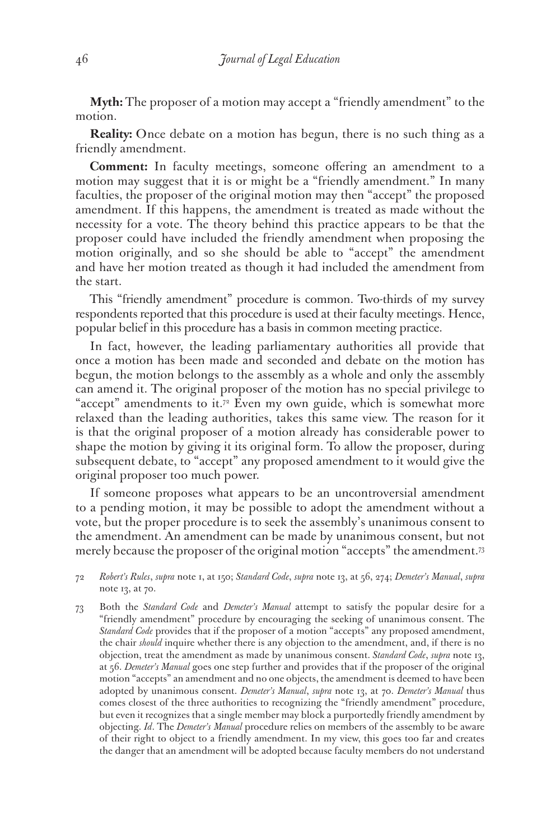**Myth:** The proposer of a motion may accept a "friendly amendment" to the motion.

**Reality:** Once debate on a motion has begun, there is no such thing as a friendly amendment.

**Comment:** In faculty meetings, someone offering an amendment to a motion may suggest that it is or might be a "friendly amendment." In many faculties, the proposer of the original motion may then "accept" the proposed amendment. If this happens, the amendment is treated as made without the necessity for a vote. The theory behind this practice appears to be that the proposer could have included the friendly amendment when proposing the motion originally, and so she should be able to "accept" the amendment and have her motion treated as though it had included the amendment from the start.

This "friendly amendment" procedure is common. Two-thirds of my survey respondents reported that this procedure is used at their faculty meetings. Hence, popular belief in this procedure has a basis in common meeting practice.

In fact, however, the leading parliamentary authorities all provide that once a motion has been made and seconded and debate on the motion has begun, the motion belongs to the assembly as a whole and only the assembly can amend it. The original proposer of the motion has no special privilege to "accept" amendments to it.<sup>72</sup> Even my own guide, which is somewhat more relaxed than the leading authorities, takes this same view. The reason for it is that the original proposer of a motion already has considerable power to shape the motion by giving it its original form. To allow the proposer, during subsequent debate, to "accept" any proposed amendment to it would give the original proposer too much power.

If someone proposes what appears to be an uncontroversial amendment to a pending motion, it may be possible to adopt the amendment without a vote, but the proper procedure is to seek the assembly's unanimous consent to the amendment. An amendment can be made by unanimous consent, but not merely because the proposer of the original motion "accepts" the amendment.73

- 72 *Robert's Rules*, *supra* note 1, at 150; *Standard Code*, *supra* note 13, at 56, 274; *Demeter's Manual*, *supra* note 13, at 70.
- 73 Both the *Standard Code* and *Demeter's Manual* attempt to satisfy the popular desire for a "friendly amendment" procedure by encouraging the seeking of unanimous consent. The *Standard Code* provides that if the proposer of a motion "accepts" any proposed amendment, the chair *should* inquire whether there is any objection to the amendment, and, if there is no objection, treat the amendment as made by unanimous consent. *Standard Code*, *supra* note 13, at 56. *Demeter's Manual* goes one step further and provides that if the proposer of the original motion "accepts" an amendment and no one objects, the amendment is deemed to have been adopted by unanimous consent. *Demeter's Manual*, *supra* note 13, at 70. *Demeter's Manual* thus comes closest of the three authorities to recognizing the "friendly amendment" procedure, but even it recognizes that a single member may block a purportedly friendly amendment by objecting. *Id*. The *Demeter's Manual* procedure relies on members of the assembly to be aware of their right to object to a friendly amendment. In my view, this goes too far and creates the danger that an amendment will be adopted because faculty members do not understand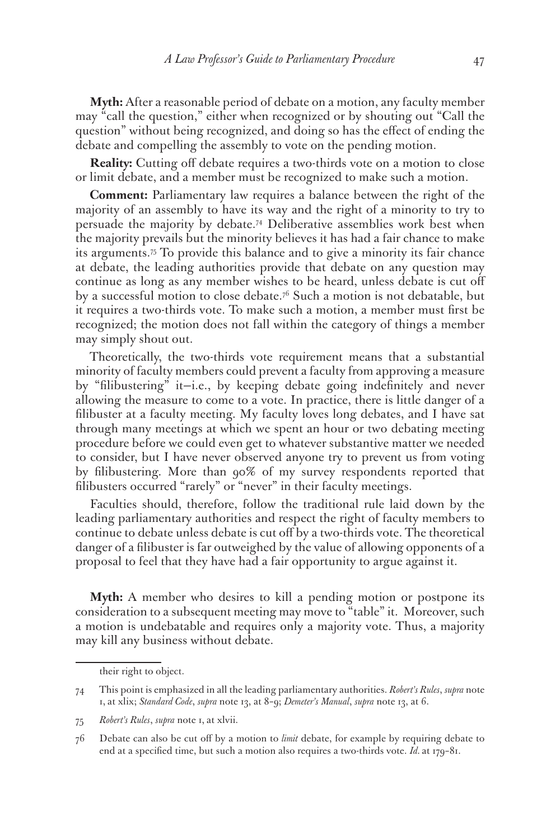**Myth:** After a reasonable period of debate on a motion, any faculty member may "call the question," either when recognized or by shouting out "Call the question" without being recognized, and doing so has the effect of ending the debate and compelling the assembly to vote on the pending motion.

**Reality:** Cutting off debate requires a two-thirds vote on a motion to close or limit debate, and a member must be recognized to make such a motion.

**Comment:** Parliamentary law requires a balance between the right of the majority of an assembly to have its way and the right of a minority to try to persuade the majority by debate.74 Deliberative assemblies work best when the majority prevails but the minority believes it has had a fair chance to make its arguments.75 To provide this balance and to give a minority its fair chance at debate, the leading authorities provide that debate on any question may continue as long as any member wishes to be heard, unless debate is cut off by a successful motion to close debate.76 Such a motion is not debatable, but it requires a two-thirds vote. To make such a motion, a member must first be recognized; the motion does not fall within the category of things a member may simply shout out.

Theoretically, the two-thirds vote requirement means that a substantial minority of faculty members could prevent a faculty from approving a measure by "filibustering" it—i.e., by keeping debate going indefinitely and never allowing the measure to come to a vote. In practice, there is little danger of a filibuster at a faculty meeting. My faculty loves long debates, and I have sat through many meetings at which we spent an hour or two debating meeting procedure before we could even get to whatever substantive matter we needed to consider, but I have never observed anyone try to prevent us from voting by filibustering. More than 90% of my survey respondents reported that filibusters occurred "rarely" or "never" in their faculty meetings.

Faculties should, therefore, follow the traditional rule laid down by the leading parliamentary authorities and respect the right of faculty members to continue to debate unless debate is cut off by a two-thirds vote. The theoretical danger of a filibuster is far outweighed by the value of allowing opponents of a proposal to feel that they have had a fair opportunity to argue against it.

**Myth:** A member who desires to kill a pending motion or postpone its consideration to a subsequent meeting may move to "table" it. Moreover, such a motion is undebatable and requires only a majority vote. Thus, a majority may kill any business without debate.

their right to object.

<sup>74</sup> This point is emphasized in all the leading parliamentary authorities. *Robert's Rules*, *supra* note 1, at xlix; *Standard Code*, *supra* note 13, at 8–9; *Demeter's Manual*, *supra* note 13, at 6.

<sup>75</sup> *Robert's Rules*, *supra* note 1, at xlvii.

<sup>76</sup> Debate can also be cut off by a motion to *limit* debate, for example by requiring debate to end at a specified time, but such a motion also requires a two-thirds vote. *Id.* at 179–81.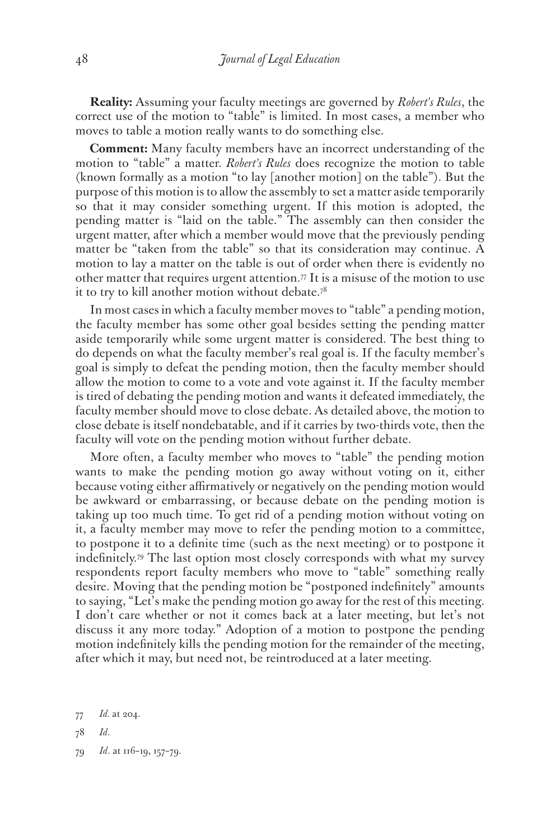**Reality:** Assuming your faculty meetings are governed by *Robert's Rules*, the correct use of the motion to "table" is limited. In most cases, a member who moves to table a motion really wants to do something else.

**Comment:** Many faculty members have an incorrect understanding of the motion to "table" a matter. *Robert's Rules* does recognize the motion to table (known formally as a motion "to lay [another motion] on the table"). But the purpose of this motion is to allow the assembly to set a matter aside temporarily so that it may consider something urgent. If this motion is adopted, the pending matter is "laid on the table." The assembly can then consider the urgent matter, after which a member would move that the previously pending matter be "taken from the table" so that its consideration may continue. A motion to lay a matter on the table is out of order when there is evidently no other matter that requires urgent attention.<sup>77</sup> It is a misuse of the motion to use it to try to kill another motion without debate.<sup>78</sup>

In most cases in which a faculty member moves to "table" a pending motion, the faculty member has some other goal besides setting the pending matter aside temporarily while some urgent matter is considered. The best thing to do depends on what the faculty member's real goal is. If the faculty member's goal is simply to defeat the pending motion, then the faculty member should allow the motion to come to a vote and vote against it. If the faculty member is tired of debating the pending motion and wants it defeated immediately, the faculty member should move to close debate. As detailed above, the motion to close debate is itself nondebatable, and if it carries by two-thirds vote, then the faculty will vote on the pending motion without further debate.

More often, a faculty member who moves to "table" the pending motion wants to make the pending motion go away without voting on it, either because voting either affirmatively or negatively on the pending motion would be awkward or embarrassing, or because debate on the pending motion is taking up too much time. To get rid of a pending motion without voting on it, a faculty member may move to refer the pending motion to a committee, to postpone it to a definite time (such as the next meeting) or to postpone it indefinitely.79 The last option most closely corresponds with what my survey respondents report faculty members who move to "table" something really desire. Moving that the pending motion be "postponed indefinitely" amounts to saying, "Let's make the pending motion go away for the rest of this meeting. I don't care whether or not it comes back at a later meeting, but let's not discuss it any more today." Adoption of a motion to postpone the pending motion indefinitely kills the pending motion for the remainder of the meeting, after which it may, but need not, be reintroduced at a later meeting.

<sup>77</sup> *Id.* at 204.

<sup>78</sup> *Id*.

<sup>79</sup> *Id*. at 116–19, 157–79.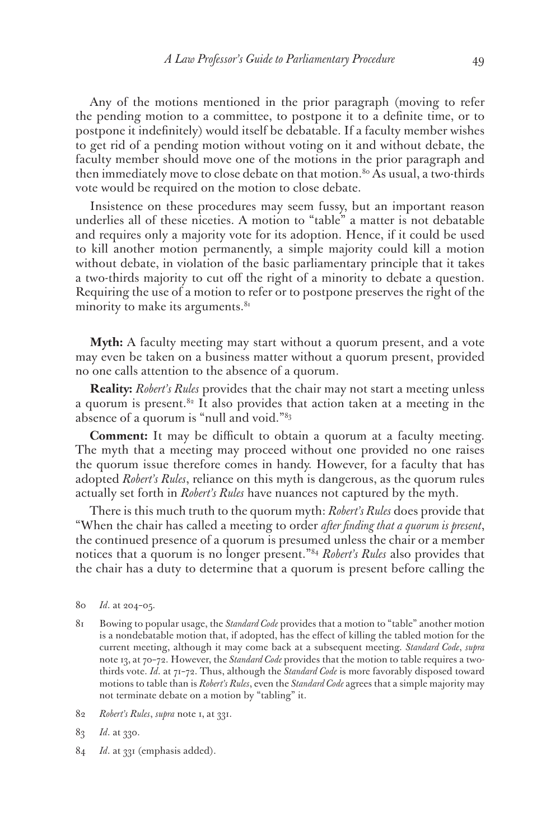Any of the motions mentioned in the prior paragraph (moving to refer the pending motion to a committee, to postpone it to a definite time, or to postpone it indefinitely) would itself be debatable. If a faculty member wishes to get rid of a pending motion without voting on it and without debate, the faculty member should move one of the motions in the prior paragraph and then immediately move to close debate on that motion.<sup>80</sup> As usual, a two-thirds vote would be required on the motion to close debate.

Insistence on these procedures may seem fussy, but an important reason underlies all of these niceties. A motion to "table" a matter is not debatable and requires only a majority vote for its adoption. Hence, if it could be used to kill another motion permanently, a simple majority could kill a motion without debate, in violation of the basic parliamentary principle that it takes a two-thirds majority to cut off the right of a minority to debate a question. Requiring the use of a motion to refer or to postpone preserves the right of the minority to make its arguments. $81$ 

**Myth:** A faculty meeting may start without a quorum present, and a vote may even be taken on a business matter without a quorum present, provided no one calls attention to the absence of a quorum.

**Reality:** *Robert's Rules* provides that the chair may not start a meeting unless a quorum is present. $82$  It also provides that action taken at a meeting in the absence of a quorum is "null and void."83

**Comment:** It may be difficult to obtain a quorum at a faculty meeting. The myth that a meeting may proceed without one provided no one raises the quorum issue therefore comes in handy. However, for a faculty that has adopted *Robert's Rules*, reliance on this myth is dangerous, as the quorum rules actually set forth in *Robert's Rules* have nuances not captured by the myth.

There is this much truth to the quorum myth: *Robert's Rules* does provide that "When the chair has called a meeting to order *after finding that a quorum is present*, the continued presence of a quorum is presumed unless the chair or a member notices that a quorum is no longer present."84 *Robert's Rules* also provides that the chair has a duty to determine that a quorum is present before calling the

- 81 Bowing to popular usage, the *Standard Code* provides that a motion to "table" another motion is a nondebatable motion that, if adopted, has the effect of killing the tabled motion for the current meeting, although it may come back at a subsequent meeting. *Standard Code*, *supra* note 13, at 70–72. However, the *Standard Code* provides that the motion to table requires a twothirds vote. *Id*. at 71–72. Thus, although the *Standard Code* is more favorably disposed toward motions to table than is *Robert's Rules*, even the *Standard Code* agrees that a simple majority may not terminate debate on a motion by "tabling" it.
- 82 *Robert's Rules*, *supra* note 1, at 331.
- 83 *Id*. at 330.
- 84 *Id*. at 331 (emphasis added).

<sup>80</sup> *Id*. at 204–05.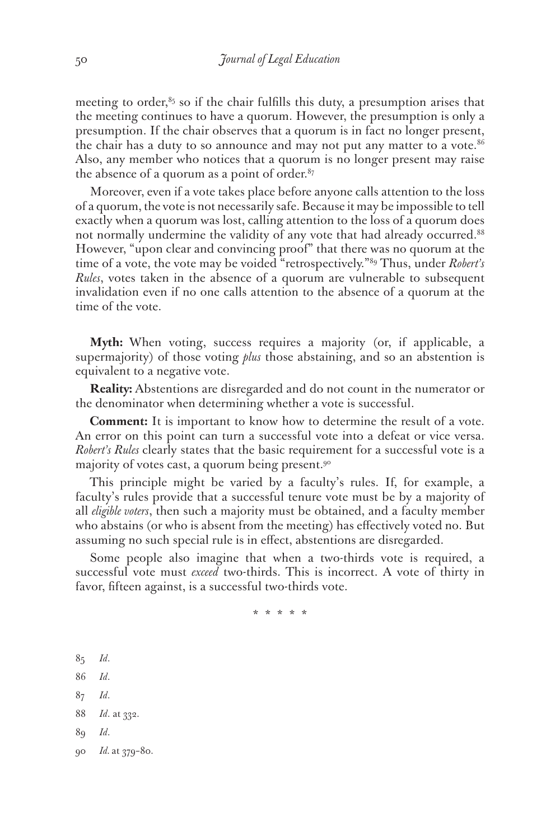meeting to order, $85$  so if the chair fulfills this duty, a presumption arises that the meeting continues to have a quorum. However, the presumption is only a presumption. If the chair observes that a quorum is in fact no longer present, the chair has a duty to so announce and may not put any matter to a vote. $86$ Also, any member who notices that a quorum is no longer present may raise the absence of a quorum as a point of order. $87$ 

Moreover, even if a vote takes place before anyone calls attention to the loss of a quorum, the vote is not necessarily safe. Because it may be impossible to tell exactly when a quorum was lost, calling attention to the loss of a quorum does not normally undermine the validity of any vote that had already occurred.<sup>88</sup> However, "upon clear and convincing proof" that there was no quorum at the time of a vote, the vote may be voided "retrospectively."89 Thus, under *Robert's Rules*, votes taken in the absence of a quorum are vulnerable to subsequent invalidation even if no one calls attention to the absence of a quorum at the time of the vote.

**Myth:** When voting, success requires a majority (or, if applicable, a supermajority) of those voting *plus* those abstaining, and so an abstention is equivalent to a negative vote.

**Reality:** Abstentions are disregarded and do not count in the numerator or the denominator when determining whether a vote is successful.

**Comment:** It is important to know how to determine the result of a vote. An error on this point can turn a successful vote into a defeat or vice versa. *Robert's Rules* clearly states that the basic requirement for a successful vote is a majority of votes cast, a quorum being present.90

This principle might be varied by a faculty's rules. If, for example, a faculty's rules provide that a successful tenure vote must be by a majority of all *eligible voters*, then such a majority must be obtained, and a faculty member who abstains (or who is absent from the meeting) has effectively voted no. But assuming no such special rule is in effect, abstentions are disregarded.

Some people also imagine that when a two-thirds vote is required, a successful vote must *exceed* two-thirds. This is incorrect. A vote of thirty in favor, fifteen against, is a successful two-thirds vote.

\* \* \* \* \*

- 85 *Id*.
- 86 *Id*.
- 87 *Id*.
- 88 *Id*. at 332.
- 89 *Id*.
- 90 *Id.* at 379–80.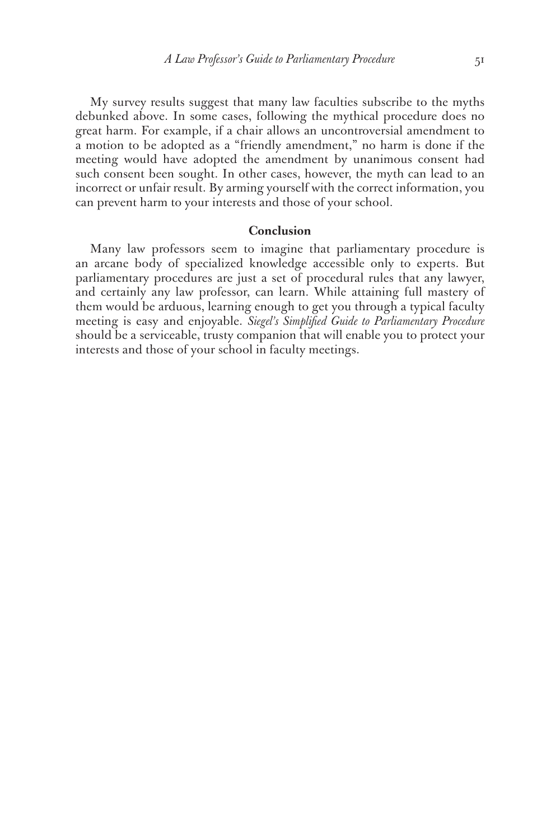My survey results suggest that many law faculties subscribe to the myths debunked above. In some cases, following the mythical procedure does no great harm. For example, if a chair allows an uncontroversial amendment to a motion to be adopted as a "friendly amendment," no harm is done if the meeting would have adopted the amendment by unanimous consent had such consent been sought. In other cases, however, the myth can lead to an incorrect or unfair result. By arming yourself with the correct information, you can prevent harm to your interests and those of your school.

#### **Conclusion**

Many law professors seem to imagine that parliamentary procedure is an arcane body of specialized knowledge accessible only to experts. But parliamentary procedures are just a set of procedural rules that any lawyer, and certainly any law professor, can learn. While attaining full mastery of them would be arduous, learning enough to get you through a typical faculty meeting is easy and enjoyable. *Siegel's Simplified Guide to Parliamentary Procedure* should be a serviceable, trusty companion that will enable you to protect your interests and those of your school in faculty meetings.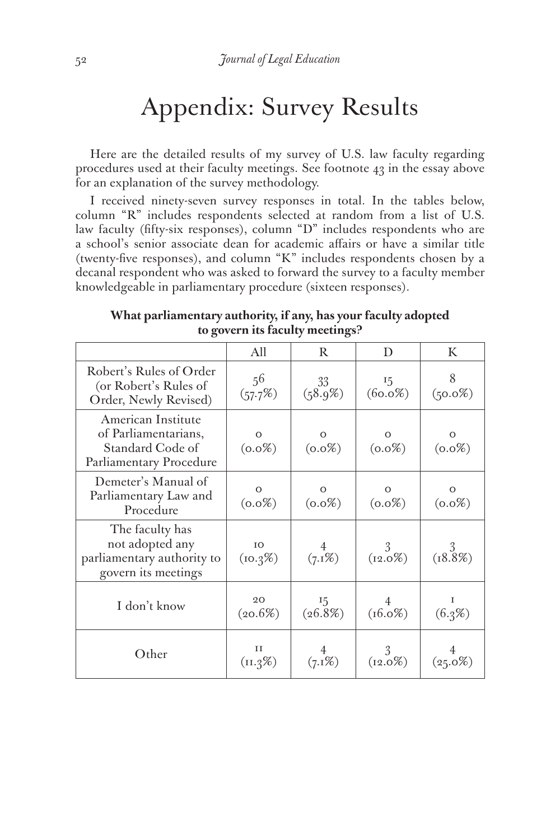# Appendix: Survey Results

Here are the detailed results of my survey of U.S. law faculty regarding procedures used at their faculty meetings. See footnote 43 in the essay above for an explanation of the survey methodology.

I received ninety-seven survey responses in total. In the tables below, column "R" includes respondents selected at random from a list of U.S. law faculty (fifty-six responses), column "D" includes respondents who are a school's senior associate dean for academic affairs or have a similar title (twenty-five responses), and column "K" includes respondents chosen by a decanal respondent who was asked to forward the survey to a faculty member knowledgeable in parliamentary procedure (sixteen responses).

**What parliamentary authority, if any, has your faculty adopted to govern its faculty meetings?**

|                                                                                           | All                   | R                     | D                     | K                     |
|-------------------------------------------------------------------------------------------|-----------------------|-----------------------|-----------------------|-----------------------|
| Robert's Rules of Order<br>(or Robert's Rules of<br>Order, Newly Revised)                 | 56<br>(57.7%)         | 33<br>(58.9%)         | 15<br>$(60.0\%)$      | 8<br>$(50.0\%)$       |
| American Institute<br>of Parliamentarians,<br>Standard Code of<br>Parliamentary Procedure | $\Omega$<br>$(0.0\%)$ | $\Omega$<br>$(0.0\%)$ | $\Omega$<br>$(0.0\%)$ | $\Omega$<br>$(0.0\%)$ |
| Demeter's Manual of<br>Parliamentary Law and<br>Procedure                                 | $\Omega$<br>$(0.0\%)$ | $\Omega$<br>$(0.0\%)$ | $\Omega$<br>$(0.0\%)$ | O<br>$(0.0\%)$        |
| The faculty has<br>not adopted any<br>parliamentary authority to<br>govern its meetings   | IO<br>$(10.3\%)$      | $(7.1\%)$             | 3<br>$(12.0\%)$       | 3<br>$(18.8\%)$       |
| I don't know                                                                              | 20<br>(20.6%)         | 15<br>$(26.8\%)$      | 4<br>$(16.0\%)$       | 1<br>$(6.3\%)$        |
| Other                                                                                     | II<br>$(11.3\%)$      | 4<br>$(7.1\%)$        | 3<br>$(12.0\%)$       | 4<br>$(25.0\%)$       |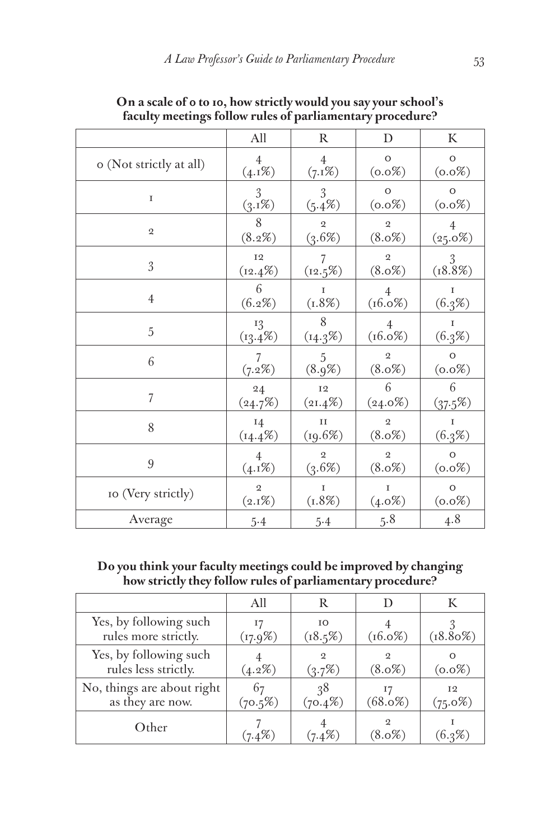|                         | All                     | $\mathbb{R}$   | D                           | K                  |
|-------------------------|-------------------------|----------------|-----------------------------|--------------------|
| o (Not strictly at all) | $\overline{4}$          | $\overline{4}$ | $\circ$                     | $\circ$            |
|                         | (4.1%)                  | $(7.1\%)$      | $(0.0\%)$                   | $(0.0\%)$          |
| $\mathbf I$             | 3                       | 3              | $\circ$                     | $\circ$            |
|                         | $(S_1 \times S)$        | $(5.4\%)$      | $(0.0\%)$                   | $(0.0\%)$          |
| $\mathbf 2$             | 8                       | $\mathfrak{D}$ | $\mathfrak{D}$              | $\overline{4}$     |
|                         | (8.2%)                  | $(3.6\%)$      | $(8.0\%)$                   | $(25.0\%)$         |
| $\overline{3}$          | <b>I2</b><br>$(12.4\%)$ | $(12.5\%)$     | $\overline{2}$<br>$(8.0\%)$ | $\frac{3}{18.8\%}$ |
| $\overline{4}$          | 6                       | T              | 4                           | T.                 |
|                         | (6.2%)                  | (1.8%)         | $(16.0\%)$                  | (6.3%)             |
| 5                       | 13                      | 8              | 4                           | $\mathbf I$        |
|                         | $(13.4\%)$              | $(14.3\%)$     | $(16.0\%)$                  | (6.3%)             |
| 6                       | 7                       | 5              | $\mathfrak{D}$              | $\Omega$           |
|                         | $(7.2\%)$               | (8.9%)         | $(8.0\%)$                   | $(0.0\%)$          |
| $\overline{7}$          | 24                      | <b>I2</b>      | 6                           | 6                  |
|                         | (24.7%)                 | $(21.4\%)$     | $(24.0\%)$                  | $(37.5\%)$         |
| 8                       | 14                      | II             | $\mathfrak{D}$              | T                  |
|                         | $(14.4\%)$              | (19.6%)        | $(8.0\%)$                   | (6.3%)             |
| 9                       | $\overline{4}$          | $\mathfrak{D}$ | $\mathfrak{D}$              | $\mathbf{O}$       |
|                         | $(4.1\%)$               | (3.6%)         | $(8.0\%)$                   | $(0.0\%)$          |
| 10 (Very strictly)      | $\overline{2}$          | $\mathbf I$    | $\mathbf I$                 | $\circ$            |
|                         | $(2.1\%)$               | (1.8%)         | $(4.0\%)$                   | $(0.0\%)$          |
| Average                 | $5-4$                   | 5.4            | 5.8                         | 4.8                |

**On a scale of 0 to 10, how strictly would you say your school's faculty meetings follow rules of parliamentary procedure?**

## **Do you think your faculty meetings could be improved by changing how strictly they follow rules of parliamentary procedure?**

|                                                | All              | R                  |                       |                  |
|------------------------------------------------|------------------|--------------------|-----------------------|------------------|
| Yes, by following such<br>rules more strictly. | (17.9%)          | IO.<br>$(18.5\%)$  | $(16.0\%)$            | $(18.80\%)$      |
| Yes, by following such<br>rules less strictly. | $(4.2\%)$        | $\Omega$<br>(3.7%) | $\Omega$<br>$(8.0\%)$ | ∩<br>$(0.0\%)$   |
| No, things are about right<br>as they are now. | 67<br>$(70.5\%)$ | 38<br>$(70.4\%)$   | 17<br>$(68.0\%)$      | 12<br>$(75.0\%)$ |
| Other                                          | $17.4\%$         | $(7.4\%)$          | $\Omega$<br>$(8.0\%)$ | $6.3\%$          |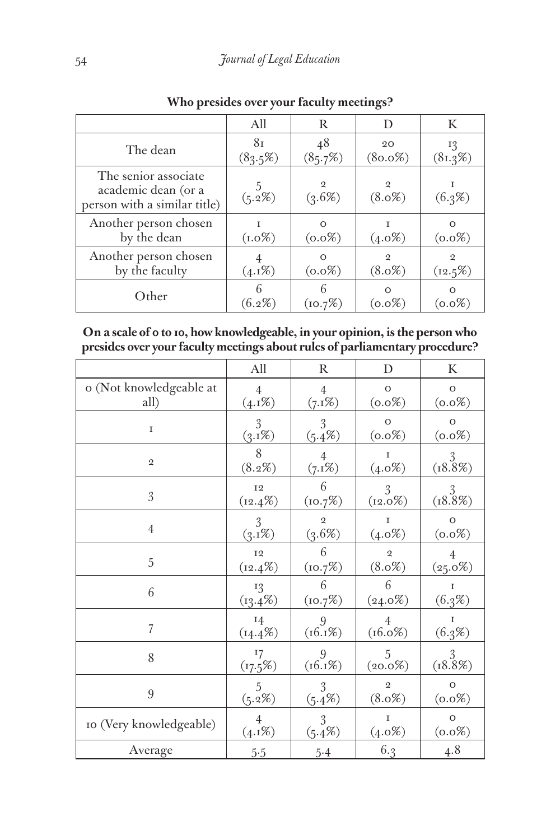|                                                                             | All              | R                           |                             | K                            |
|-----------------------------------------------------------------------------|------------------|-----------------------------|-----------------------------|------------------------------|
| The dean                                                                    | 8т<br>$(83.5\%)$ | 48<br>(8,5.7%)              | 20<br>$(80.0\%)$            | 13<br>(81.3%)                |
| The senior associate<br>academic dean (or a<br>person with a similar title) | $(5.2\%)$        | $\mathfrak{D}$<br>$(3.6\%)$ | $\mathfrak{D}$<br>$(8.0\%)$ | $(6.3\%)$                    |
| Another person chosen<br>by the dean                                        | $(1.0\%)$        | $\Omega$<br>$(0.0\%)$       | $(4.0\%)$                   | $(0.0\%)$                    |
| Another person chosen<br>by the faculty                                     | $(4.1\%)$        | $\Omega$<br>$(0.0\%)$       | $\mathfrak{D}$<br>$(8.0\%)$ | $\mathfrak{D}$<br>$(12.5\%)$ |
| Other                                                                       | 6<br>$(6.2\%)$   | (10.7%)                     | $\Omega$<br>$(0.0\%)$       | $(0.0\%)$                    |

**Who presides over your faculty meetings?**

**On a scale of 0 to 10, how knowledgeable, in your opinion, is the person who presides over your faculty meetings about rules of parliamentary procedure?**

|                         | All                     | R              | D               | K                  |
|-------------------------|-------------------------|----------------|-----------------|--------------------|
| o (Not knowledgeable at | $\overline{4}$          | $\overline{4}$ | $\Omega$        | $\circ$            |
| all)                    | $(4.1\%)$               | $(7.1\%)$      | $(0.0\%)$       | $(0.0\%)$          |
| $\mathbf I$             | 3                       | 3              | $\circ$         | $\mathbf O$        |
|                         | $(S_1 \times S)$        | $(5.4\%)$      | $(0.0\%)$       | $(0.0\%)$          |
| $\mathfrak 2$           | 8                       | 4              | T               | 3                  |
|                         | $(8.2\%)$               | $(7.1\%)$      | $(4.0\%)$       | (18.8%)            |
| 3                       | <b>12</b><br>$(12.4\%)$ | 6<br>(10.7%)   | 3<br>$(12.0\%)$ | $\frac{3}{18.8\%}$ |
| $\overline{4}$          | 3                       | $\overline{2}$ | T               | $\circ$            |
|                         | $(3.1\%)$               | (3.6%)         | $(4.0\%)$       | $(0.0\%)$          |
| 5                       | <b>12</b>               | 6              | $\overline{2}$  | $\overline{4}$     |
|                         | $(12.4\%)$              | (10.7%)        | $(8.0\%)$       | $(25.0\%)$         |
| 6                       | 13                      | 6              | 6               | 1                  |
|                         | $(i3.4\%)$              | (10.7%)        | $(24.0\%)$      | (6.3%)             |
| 7                       | 14                      | 9              | 4               | T                  |
|                         | $(14.4\%)$              | (16.1%)        | $(16.0\%)$      | (6.3%)             |
| 8                       | 17                      | 9              | 5               | 3                  |
|                         | (17.5%)                 | $(16.1\%)$     | $(20.0\%)$      | (18.8%)            |
| 9                       | 5                       | 3              | $\overline{2}$  | $\Omega$           |
|                         | (5.2%)                  | $(5.4\%)$      | $(8.0\%)$       | $(0.0\%)$          |
| 10 (Very knowledgeable) | $\overline{4}$          | 3              | T               | $\Omega$           |
|                         | $(4.1\%)$               | $(5.4\%)$      | $(4.0\%)$       | $(0.0\%)$          |
| Average                 | 5.5                     | 5·4            | 6.3             | 4.8                |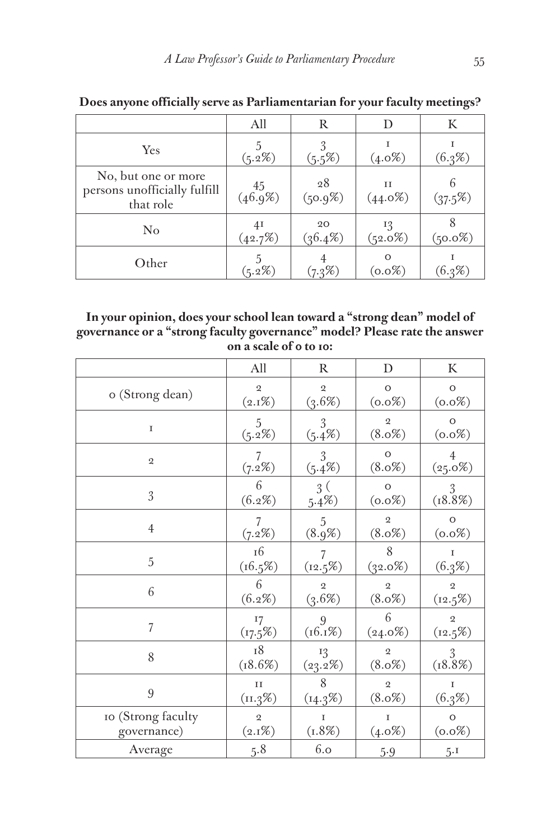|                                                                  | All                       | R                |                              | K          |
|------------------------------------------------------------------|---------------------------|------------------|------------------------------|------------|
| Yes                                                              | (5.2%)                    | $(5.5\%)$        | $(4.0\%)$                    | (6.3%)     |
| No, but one or more<br>persons unofficially fulfill<br>that role | 45<br>(46.9%)             | 28<br>$(50.9\%)$ | $_{\text{II}}$<br>$(44.0\%)$ | (37.5%)    |
| $\rm No$                                                         | 4 <sup>I</sup><br>(42.7%) | 20<br>$(36.4\%)$ | 13<br>$(52.0\%)$             | $(50.0\%)$ |
| Other                                                            | $(5.2\%)$                 | $(7.3\%)$        | ∩<br>$(0.0\%)$               | $(6.3\%)$  |

# **Does anyone officially serve as Parliamentarian for your faculty meetings?**

**In your opinion, does your school lean toward a "strong dean" model of governance or a "strong faculty governance" model? Please rate the answer on a scale of 0 to 10:**

|                    | All            | $\mathbb{R}$               | $\mathbf D$                 | K                  |
|--------------------|----------------|----------------------------|-----------------------------|--------------------|
| o (Strong dean)    | $\overline{2}$ | $\mathfrak{D}$             | $\mathbf O$                 | $\circ$            |
|                    | (2.1%)         | (3.6%)                     | $(0.0\%)$                   | $(0.0\%)$          |
| $\mathbf I$        | 5              | 3                          | $\mathfrak{D}$              | $\mathbf O$        |
|                    | (5.2%)         | $(5.4\%)$                  | $(8.0\%)$                   | $(0.0\%)$          |
| $\mathbf 2$        | 7              | 3                          | $\circ$                     | $\overline{4}$     |
|                    | (7.2%)         | $(5.4\%)$                  | $(8.0\%)$                   | $(25.0\%)$         |
| $\mathfrak{Z}$     | 6<br>$(6.2\%)$ | 3 <sup>2</sup><br>$5.4\%)$ | $\Omega$<br>$(0.0\%)$       | $\frac{3}{18.8\%}$ |
| $\boldsymbol{4}$   | 7              | 5                          | $\overline{2}$              | $\circ$            |
|                    | $(7.2\%)$      | $(8.9\%)$                  | $(8.0\%)$                   | $(0.0\%)$          |
| $\overline{5}$     | <sup>16</sup>  | 7                          | 8                           | $\mathbf I$        |
|                    | (16.5%)        | $(12.5\%)$                 | $(32.0\%)$                  | (6.3%)             |
| 6                  | 6              | $\overline{2}$             | $\overline{2}$              | $\mathfrak{D}$     |
|                    | (6.2%)         | (3.6%)                     | $(8.0\%)$                   | $(12.5\%)$         |
| 7                  | 17             | 9                          | 6                           | $\mathfrak{D}$     |
|                    | (17.5%)        | (16.1%)                    | $(24.0\%)$                  | $(12.5\%)$         |
| 8                  | 18<br>(18.6%)  | 13<br>(23.2%)              | $\overline{2}$<br>$(8.0\%)$ | $\frac{3}{18.8\%}$ |
| 9                  | II             | 8                          | $\overline{2}$              | $\mathbf{I}$       |
|                    | (11.3%)        | (14.3%)                    | $(8.0\%)$                   | (6.3%)             |
| 10 (Strong faculty | $\overline{2}$ | $\mathbf I$                | T                           | $\mathbf{O}$       |
| governance)        | (2.1%)         | (1.8%)                     | $(4.0\%)$                   | $(0.0\%)$          |
| Average            | 5.8            | 6.0                        | 5.9                         | $5 \cdot 1$        |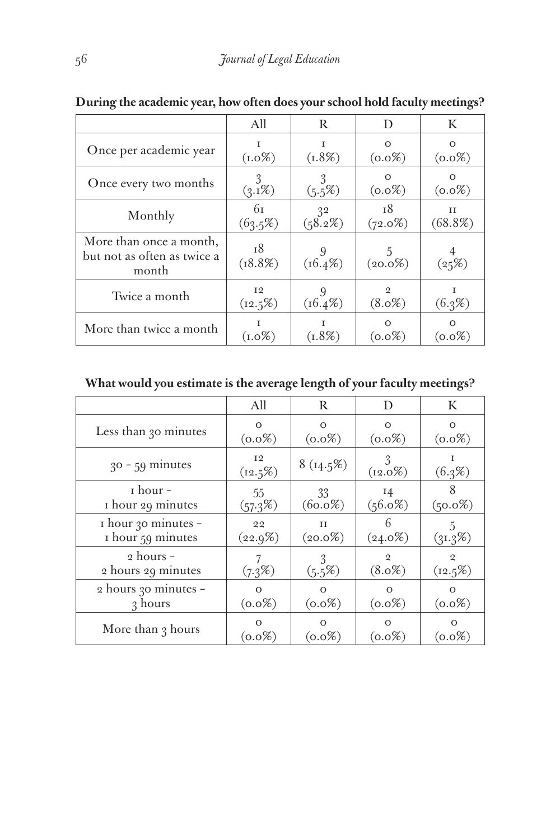|                                                                 | All              | R                         | D                           | K                      |
|-----------------------------------------------------------------|------------------|---------------------------|-----------------------------|------------------------|
| Once per academic year                                          | т<br>$(1.0\%)$   | T<br>$(1.8\%)$            | $\Omega$<br>$(0.0\%)$       | $(0.0\%)$              |
| Once every two months                                           | $(3.1\%)$        | $(5.5\%)$                 | ∩<br>$(0.0\%)$              | $(0.0\%)$              |
| Monthly                                                         | 61<br>$(63.5\%)$ | 3 <sup>2</sup><br>(58.2%) | 18<br>$(72.0\%)$            | $_{\rm II}$<br>(68.8%) |
| More than once a month,<br>but not as often as twice a<br>month | т8<br>$(18.8\%)$ | $(16.4\%)$                | $(20.0\%)$                  | (25%)                  |
| Twice a month                                                   | 12<br>$(12.5\%)$ | $(16.4\%)$                | $\overline{2}$<br>$(8.0\%)$ | T.<br>$(6.3\%)$        |
| More than twice a month                                         | $(1.0\%)$        | T<br>$(1.8\%)$            | $\Omega$<br>$(0.0\%)$       | $(0.0\%)$              |

# **During the academic year, how often does your school hold faculty meetings?**

**What would you estimate is the average length of your faculty meetings?**

|                      | All              | R            | D                                         | K              |
|----------------------|------------------|--------------|-------------------------------------------|----------------|
| Less than 30 minutes | $\Omega$         | $\Omega$     | $\Omega$                                  | $\Omega$       |
|                      | $(0.0\%)$        | $(0.0\%)$    | $(0.0\%)$                                 | $(0.0\%)$      |
| $30 - 59$ minutes    | 12<br>$(12.5\%)$ | $8(14.5\%)$  | $\mathcal{R}_{\mathcal{A}}$<br>$(12.0\%)$ | $(6.3\%)$      |
| I hour-              | 55               | 33           | 14                                        | $(50.0\%)$     |
| I hour 29 minutes    | $(57.3\%)$       | $(60.0\%)$   | $(56.0\%)$                                |                |
| I hour 30 minutes -  | 22               | $\mathbf{H}$ | $(24.0\%)$                                | 5              |
| I hour 59 minutes    | (22.9%)          | $(20.0\%)$   |                                           | (31.3%)        |
| 2 hours -            | $(7.3\%)$        | 3            | $\mathfrak{D}$                            | $\mathfrak{D}$ |
| 2 hours 29 minutes   |                  | $(5.5\%)$    | $(8.0\%)$                                 | $(12.5\%)$     |
| 2 hours 30 minutes - | $\Omega$         | $\Omega$     | $\Omega$                                  | $\Omega$       |
| 3 hours              | $(0.0\%)$        | $(0.0\%)$    | $(0.0\%)$                                 | $(0.0\%)$      |
| More than 3 hours    | $\Omega$         | $\Omega$     | $\Omega$                                  | $\Omega$       |
|                      | $(0.0\%)$        | $(0.0\%)$    | $(0.0\%)$                                 | $(0.0\%)$      |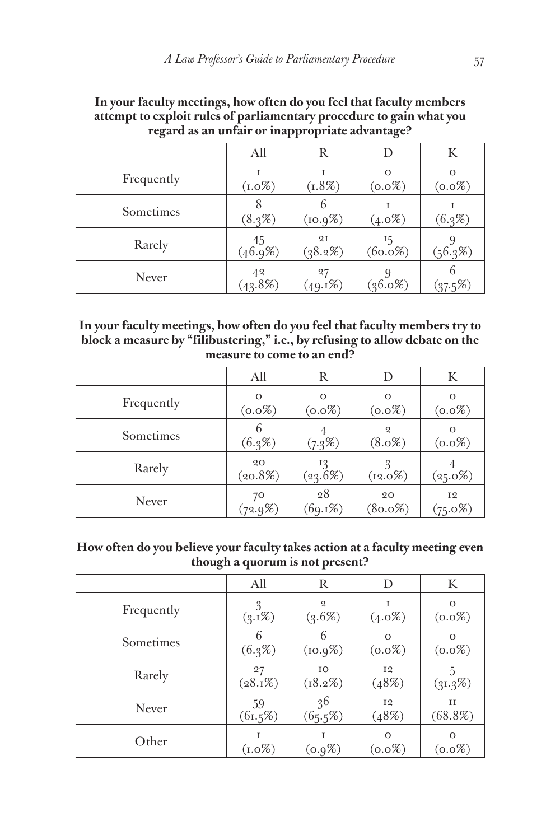|            | All                          | R                | D                     | K                     |
|------------|------------------------------|------------------|-----------------------|-----------------------|
| Frequently | $(1.0\%)$                    | T<br>(1.8%)      | $\Omega$<br>$(0.0\%)$ | $\Omega$<br>$(0.0\%)$ |
| Sometimes  | 8<br>(8.3%)                  | 6<br>(10.9%)     | $(4.0\%)$             | (6.3%)                |
| Rarely     | 45<br>(46.9%)                | 2I<br>(38.2%)    | 15<br>$(60.0\%)$      | (56.3%)               |
| Never      | 4 <sup>2</sup><br>$(43.8\%)$ | 27<br>$(49.1\%)$ | $(36.0\%)$            | $37.5\%$              |

**In your faculty meetings, how often do you feel that faculty members attempt to exploit rules of parliamentary procedure to gain what you regard as an unfair or inappropriate advantage?**

| In your faculty meetings, how often do you feel that faculty members try to  |
|------------------------------------------------------------------------------|
| block a measure by "filibustering," i.e., by refusing to allow debate on the |
| measure to come to an end?                                                   |

|            | All                   | R                     |                             | K                            |
|------------|-----------------------|-----------------------|-----------------------------|------------------------------|
| Frequently | $\Omega$<br>$(0.0\%)$ | $\Omega$<br>$(0.0\%)$ | $\Omega$<br>$(0.0\%)$       | $\Omega$<br>$(0.0\%)$        |
| Sometimes  | 6<br>(6.3%)           | $(7.3\%)$             | $\overline{2}$<br>$(8.0\%)$ | $\circ$<br>$(0.0\%)$         |
| Rarely     | 20<br>(20.8%)         | 13<br>$(23.6\%)$      | $(12.0\%)$                  | $(25.0\%)$                   |
| Never      | 70<br>$(72.9\%)$      | 28<br>$(69.1\%)$      | 20<br>$(80.0\%)$            | I <sub>2</sub><br>$(75.0\%)$ |

**How often do you believe your faculty takes action at a faculty meeting even though a quorum is not present?**

|            | All              | R                           | D                       | K                     |
|------------|------------------|-----------------------------|-------------------------|-----------------------|
| Frequently | $(3.1\%)$        | $\overline{2}$<br>$(3.6\%)$ | $(4.0\%)$               | $\Omega$<br>$(0.0\%)$ |
| Sometimes  | 6<br>(6.3%)      | 6<br>(10.9%)                | $\Omega$<br>$(0.0\%)$   | $\Omega$<br>$(0.0\%)$ |
| Rarely     | 27<br>$(28.1\%)$ | IO<br>$(18.2\%)$            | I <sub>2</sub><br>(48%) | $(31.3\%)$            |
| Never      | 59<br>$(61.5\%)$ | 36<br>(65.5%)               | I <sub>2</sub><br>(48%) | ĪΤ<br>(68.8%)         |
| Other      | $(1.0\%)$        | T<br>$(0.9\%)$              | ∩<br>$(0.0\%)$          | $\Omega$<br>$(0.0\%)$ |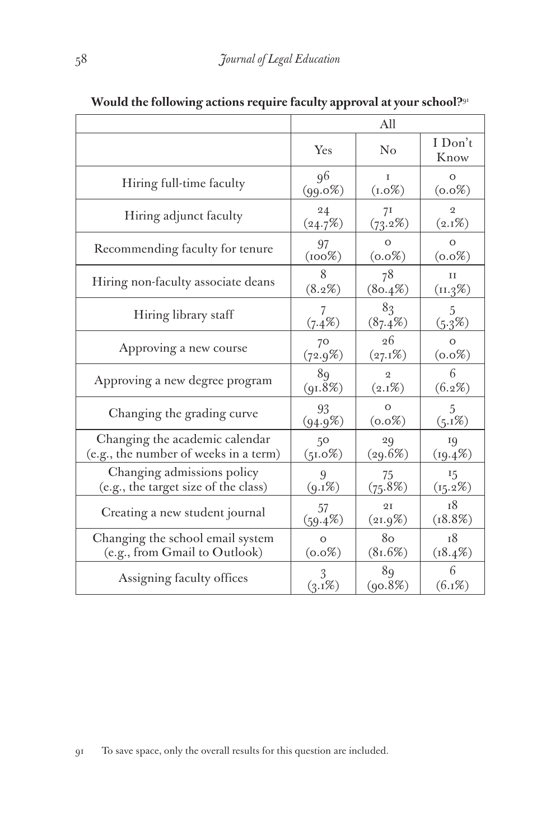|                                       |            | All            |                 |
|---------------------------------------|------------|----------------|-----------------|
|                                       | Yes        | No             | I Don't<br>Know |
| Hiring full-time faculty              | 96         | T              | $\Omega$        |
|                                       | $(99.0\%)$ | $(1.0\%)$      | $(0.0\%)$       |
| Hiring adjunct faculty                | 24         | 71             | $\mathfrak{D}$  |
|                                       | (24.7%)    | $(73.2\%)$     | $(2.1\%)$       |
| Recommending faculty for tenure       | 97         | $\Omega$       | $\Omega$        |
|                                       | (100%)     | $(0.0\%)$      | $(0.0\%)$       |
| Hiring non-faculty associate deans    | 8          | 78             | H               |
|                                       | $(8.2\%)$  | $(80.4\%)$     | (11.3%)         |
| Hiring library staff                  | 7          | 83             | 5               |
|                                       | $(7.4\%)$  | (87.4%)        | (5.3%)          |
| Approving a new course                | 70         | 26             | $\Omega$        |
|                                       | $(72.9\%)$ | $(27.1\%)$     | $(0.0\%)$       |
| Approving a new degree program        | 89         | $\overline{2}$ | 6               |
|                                       | (91.8%)    | $(2.1\%)$      | $(6.2\%)$       |
| Changing the grading curve            | 93         | $\Omega$       | 5               |
|                                       | $(94.9\%)$ | $(0.0\%)$      | $(5.1\%)$       |
| Changing the academic calendar        | 50         | 29             | 19              |
| (e.g., the number of weeks in a term) | $(51.0\%)$ | (29.6%)        | $(19.4\%)$      |
| Changing admissions policy            | 9          | 75             | 15              |
| (e.g., the target size of the class)  | $(9.1\%)$  | (75.8%)        | $(15.2\%)$      |
| Creating a new student journal        | 57         | 2I             | <sup>18</sup>   |
|                                       | $(59.4\%)$ | (21.9%)        | (18.8%)         |
| Changing the school email system      | $\Omega$   | 80             | <sup>18</sup>   |
| (e.g., from Gmail to Outlook)         | $(0.0\%)$  | (81.6%)        | $(18.4\%)$      |
| Assigning faculty offices             | 3          | 89             | 6               |
|                                       | $(3.1\%)$  | (qo.8%)        | $(6.1\%)$       |

**Would the following actions require faculty approval at your school?**<sup>91</sup>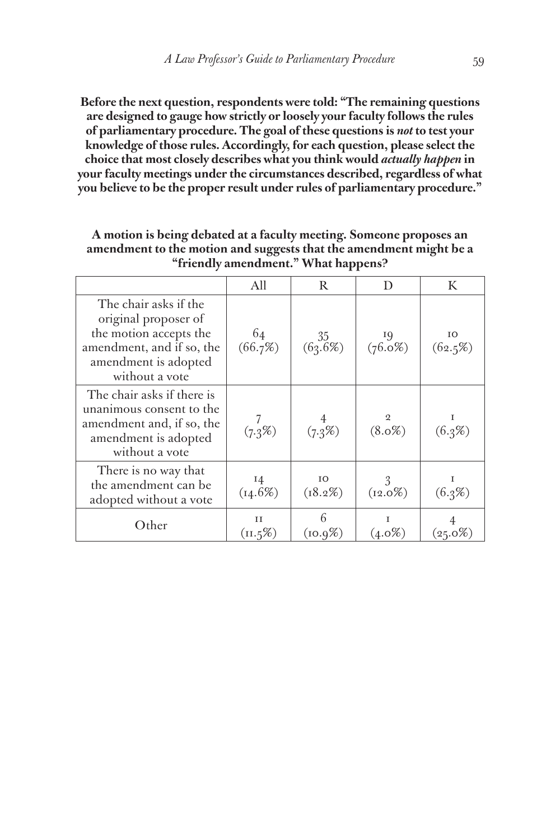**Before the next question, respondents were told: "The remaining questions are designed to gauge how strictly or loosely your faculty follows the rules of parliamentary procedure. The goal of these questions is** *not* **to test your knowledge of those rules. Accordingly, for each question, please select the choice that most closely describes what you think would** *actually happen* **in your faculty meetings under the circumstances described, regardless of what you believe to be the proper result under rules of parliamentary procedure."**

|                                                                                                                                                | All                   | R                     | D                | K                         |
|------------------------------------------------------------------------------------------------------------------------------------------------|-----------------------|-----------------------|------------------|---------------------------|
| The chair asks if the<br>original proposer of<br>the motion accepts the<br>amendment, and if so, the<br>amendment is adopted<br>without a vote | 64<br>(66.7%)         | $\frac{35}{(63.6\%)}$ | 19<br>$(76.0\%)$ | I <sub>O</sub><br>(62.5%) |
| The chair asks if there is<br>unanimous consent to the<br>amendment and, if so, the<br>amendment is adopted<br>without a vote                  | (7.3%)                | (7.3%)                | $(8.0\%)$        | $(6.3\%)$                 |
| There is no way that<br>the amendment can be<br>adopted without a vote                                                                         | 14<br>$(14.6\%)$      | IO<br>$(18.2\%)$      | 3<br>$(12.0\%)$  | 1<br>$(6.3\%)$            |
| Other)                                                                                                                                         | и<br>$(\text{II.5%)}$ | 6<br>$(10.9\%)$       | $(4.0\%)$        | $(25.0\%)$                |

**A motion is being debated at a faculty meeting. Someone proposes an amendment to the motion and suggests that the amendment might be a "friendly amendment." What happens?**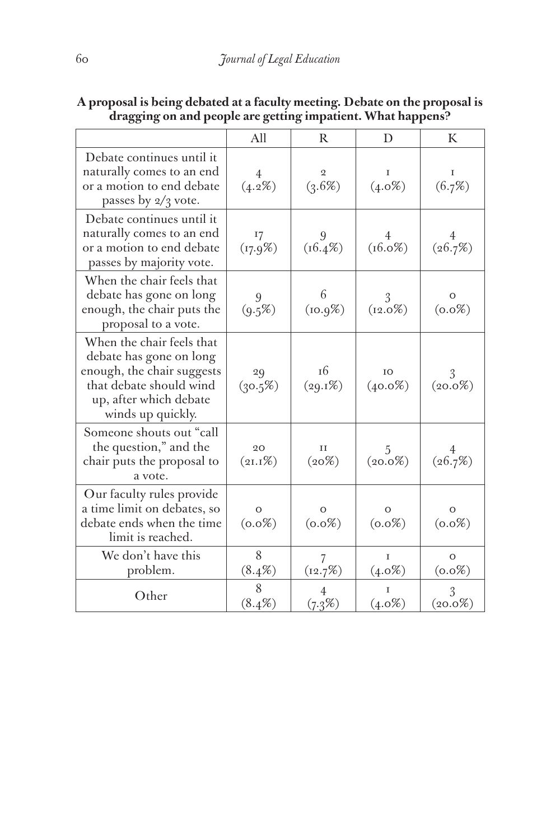|                                                                                                                                                              | All                  | $\mathbb{R}$                | D                | K                    |
|--------------------------------------------------------------------------------------------------------------------------------------------------------------|----------------------|-----------------------------|------------------|----------------------|
| Debate continues until it<br>naturally comes to an end<br>or a motion to end debate<br>passes by 2/3 vote.                                                   | 4<br>(4.2%)          | 2<br>(3.6%)                 | L<br>$(4.0\%)$   | T.<br>(6.7%)         |
| Debate continues until it<br>naturally comes to an end<br>or a motion to end debate<br>passes by majority vote.                                              | 17<br>(17.9%)        | $(16.4\%)$                  | $(16.0\%)$       | (26.7%)              |
| When the chair feels that<br>debate has gone on long<br>enough, the chair puts the<br>proposal to a vote.                                                    | 9<br>(9.5%)          | 6<br>(10.9%)                | 3<br>$(12.0\%)$  | О<br>$(0.0\%)$       |
| When the chair feels that<br>debate has gone on long<br>enough, the chair suggests<br>that debate should wind<br>up, after which debate<br>winds up quickly. | 29<br>$(30.5\%)$     | <sup>16</sup><br>$(29.1\%)$ | IO<br>$(40.0\%)$ | $(20.0\%)$           |
| Someone shouts out "call<br>the question," and the<br>chair puts the proposal to<br>a vote.                                                                  | 20<br>$(21.1\%)$     | 11<br>(20%)                 | 5<br>$(20.0\%)$  | (26.7%)              |
| Our faculty rules provide<br>a time limit on debates, so<br>debate ends when the time<br>limit is reached.                                                   | $\circ$<br>$(0.0\%)$ | $\circ$<br>$(0.0\%)$        | O<br>$(0.0\%)$   | O<br>$(0.0\%)$       |
| We don't have this<br>problem.                                                                                                                               | 8<br>$(8.4\%)$       | 7<br>(12.7%)                | T<br>$(4.0\%)$   | $\circ$<br>$(0.0\%)$ |
| Other                                                                                                                                                        | 8<br>$(8.4\%)$       | $(7.3\%)$                   | $(4.0\%)$        | $(20.0\%)$           |

## **A proposal is being debated at a faculty meeting. Debate on the proposal is dragging on and people are getting impatient. What happens?**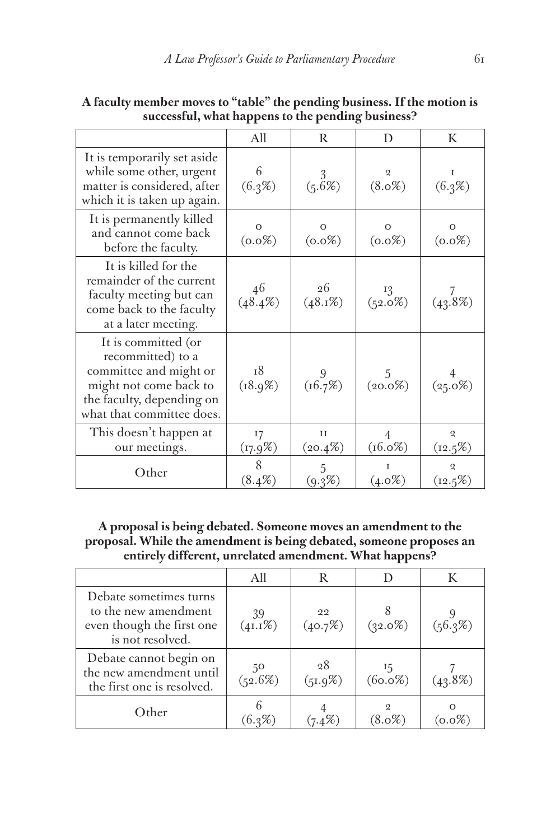|                                                                                                                                                        | All                  | R                     | D                            | K                            |
|--------------------------------------------------------------------------------------------------------------------------------------------------------|----------------------|-----------------------|------------------------------|------------------------------|
| It is temporarily set aside<br>while some other, urgent<br>matter is considered, after<br>which it is taken up again.                                  | 6<br>(6.3%)          | $\frac{3}{(5.6\%)}$   | $\overline{2}$<br>$(8.0\%)$  | 1<br>(6.3%)                  |
| It is permanently killed<br>and cannot come back<br>before the faculty.                                                                                | $\circ$<br>$(0.0\%)$ | $\circ$<br>$(0.0\%)$  | $\circ$<br>$(0.0\%)$         | $\Omega$<br>$(0.0\%)$        |
| It is killed for the<br>remainder of the current<br>faculty meeting but can<br>come back to the faculty<br>at a later meeting.                         | 46<br>$(48.4\%)$     | 26<br>$(48.1\%)$      | 13<br>$(52.0\%)$             | $(43.8\%)$                   |
| It is committed (or<br>recommitted) to a<br>committee and might or<br>might not come back to<br>the faculty, depending on<br>what that committee does. | 18<br>(18.9%)        | 9<br>(16.7%)          | 5<br>$(20.0\%)$              | $(25.0\%)$                   |
| This doesn't happen at<br>our meetings.                                                                                                                | 17<br>(17.9%)        | $_{II}$<br>$(20.4\%)$ | $\overline{4}$<br>$(16.0\%)$ | $\overline{2}$<br>$(12.5\%)$ |
| Other                                                                                                                                                  | 8<br>$(8.4\%)$       | 5<br>$(9.3\%)$        | T<br>$(4.0\%)$               | $\mathfrak{D}$<br>$(12.5\%)$ |

# **A faculty member moves to "table" the pending business. If the motion is successful, what happens to the pending business?**

**A proposal is being debated. Someone moves an amendment to the proposal. While the amendment is being debated, someone proposes an entirely different, unrelated amendment. What happens?**

|                                                                                                 | All              | R                |                  |            |
|-------------------------------------------------------------------------------------------------|------------------|------------------|------------------|------------|
| Debate sometimes turns<br>to the new amendment<br>even though the first one<br>is not resolved. | 39<br>$(41.1\%)$ | 22<br>(40.7%)    | $(32.0\%)$       | $(56.3\%)$ |
| Debate cannot begin on<br>the new amendment until<br>the first one is resolved.                 | 50<br>(52.6%)    | 28<br>$(51.9\%)$ | 15<br>$(60.0\%)$ | $(43.8\%)$ |
| Other                                                                                           | (6.3%            | $(7.4\%)$        | 2<br>$(8.0\%)$   | $(0.0\%)$  |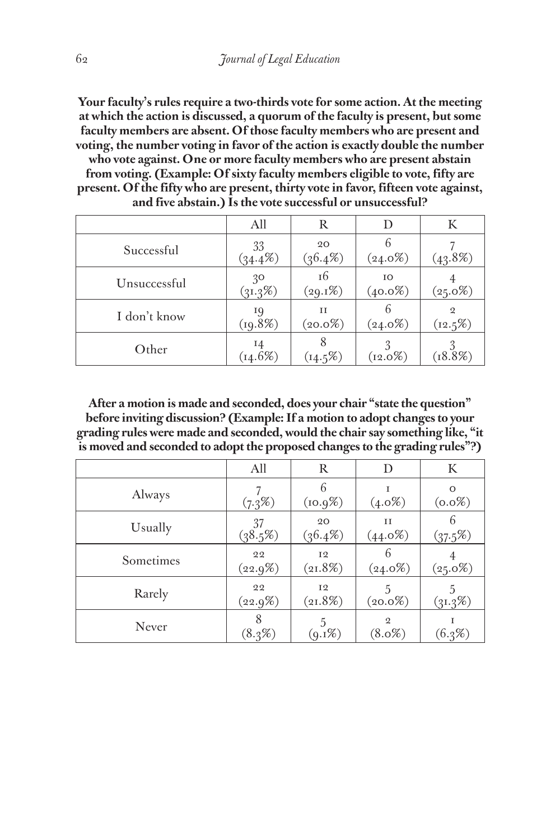**Your faculty's rules require a two-thirds vote for some action. At the meeting at which the action is discussed, a quorum of the faculty is present, but some faculty members are absent. Of those faculty members who are present and voting, the number voting in favor of the action is exactly double the number who vote against. One or more faculty members who are present abstain from voting. (Example: Of sixty faculty members eligible to vote, fifty are present. Of the fifty who are present, thirty vote in favor, fifteen vote against, and five abstain.) Is the vote successful or unsuccessful?**

|              | All              | R                |                   | K                            |
|--------------|------------------|------------------|-------------------|------------------------------|
| Successful   | 33<br>$(34.4\%)$ | 20<br>$(36.4\%)$ | $(24.0\%)$        | $(43.8\%)$                   |
| Unsuccessful | 30<br>(31.3%)    | 16<br>$(29.1\%)$ | IO.<br>$(40.0\%)$ | $(25.0\%)$                   |
| I don't know | 19<br>(19.8%)    | TΤ<br>$(20.0\%)$ | $(24.0\%)$        | $\mathfrak{D}$<br>$(12.5\%)$ |
| Other        | 14<br>(14.6%)    | $(14.5\%)$       | $(12.0\%)$        | (18.8%)                      |

**After a motion is made and seconded, does your chair "state the question" before inviting discussion? (Example: If a motion to adopt changes to your grading rules were made and seconded, would the chair say something like, "it is moved and seconded to adopt the proposed changes to the grading rules"?)**

|           | All              | R                       | D                           | K                     |
|-----------|------------------|-------------------------|-----------------------------|-----------------------|
| Always    | $(7.3\%)$        | 6<br>(10.9%)            | $(4.0\%)$                   | $\Omega$<br>$(0.0\%)$ |
| Usually   | 37<br>(38.5%)    | 20<br>$(36.4\%)$        | $_{\rm II}$<br>$(44.0\%)$   | $(37.5\%)$            |
| Sometimes | 22<br>$(22.9\%)$ | <b>I2</b><br>$(21.8\%)$ | $(24.0\%)$                  | $(25.0\%)$            |
| Rarely    | 22<br>$(22.9\%)$ | <b>I2</b><br>$(21.8\%)$ | $(20.0\%)$                  | (31.3%)               |
| Never     | 8<br>(8.3%)      | $(9.1\%)$               | $\mathfrak{D}$<br>$(8.0\%)$ | (6.3%)                |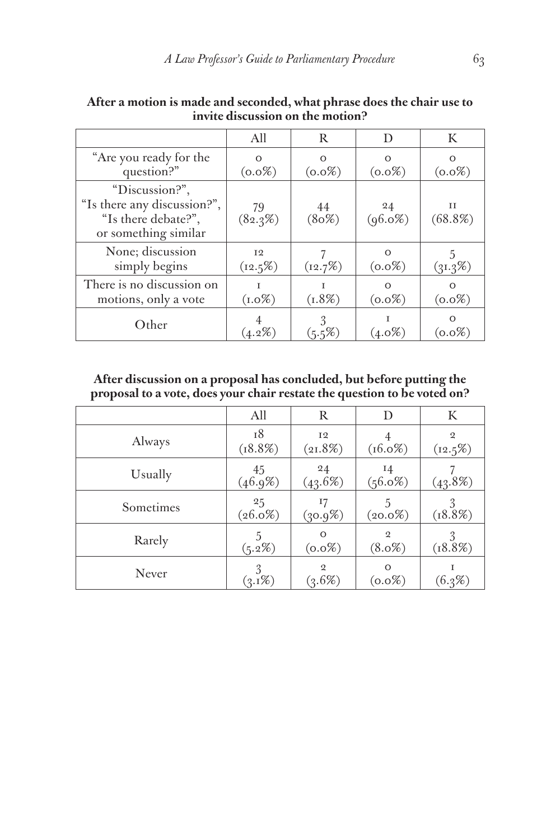|                                                                                              | All                          | R                     |                       | K             |
|----------------------------------------------------------------------------------------------|------------------------------|-----------------------|-----------------------|---------------|
| "Are you ready for the<br>question?"                                                         | $\Omega$<br>$(0.0\%)$        | $\Omega$<br>$(0.0\%)$ | $\Omega$<br>$(0.0\%)$ | $(0.0\%)$     |
| "Discussion?",<br>"Is there any discussion?",<br>"Is there debate?",<br>or something similar | 79<br>(82.3%)                | 44<br>$(80\%)$        | 24<br>$(96.0\%)$      | TΤ<br>(68.8%) |
| None; discussion<br>simply begins                                                            | I <sub>2</sub><br>$(12.5\%)$ | (12.7%)               | $\Omega$<br>$(0.0\%)$ | (31.3%)       |
| There is no discussion on<br>motions, only a vote                                            | т<br>$(1.0\%)$               | T<br>$(1.8\%)$        | $\Omega$<br>$(0.0\%)$ | $(0.0\%)$     |
| Other                                                                                        | $(4.2\%)$                    | $(5.5\%)$             | $(4.0\%)$             | $(0.0\%)$     |

**After a motion is made and seconded, what phrase does the chair use to invite discussion on the motion?**

**After discussion on a proposal has concluded, but before putting the proposal to a vote, does your chair restate the question to be voted on?**

|           | All              | R                        |                             | K                            |
|-----------|------------------|--------------------------|-----------------------------|------------------------------|
| Always    | 18<br>(18.8%)    | <b>I2</b><br>(21.8%)     | $(16.0\%)$                  | $\mathfrak{D}$<br>$(12.5\%)$ |
| Usually   | 45<br>(46.9%)    | $^{24}$<br>$(43.6\%)$    | 14<br>$(56.0\%)$            | $(43.8\%)$                   |
| Sometimes | 25<br>$(26.0\%)$ | 17<br>$(30.9\%)$         | $(20.0\%)$                  | (18.8%)                      |
| Rarely    | (5.2%)           | $\Omega$<br>$(0.0\%)$    | $\mathfrak{D}$<br>$(8.0\%)$ | (18.8%)                      |
| Never     | $(3.1\%)$        | $\mathfrak{D}$<br>(3.6%) | $\Omega$<br>$_{(o. o\%)}$   | (6.3%)                       |